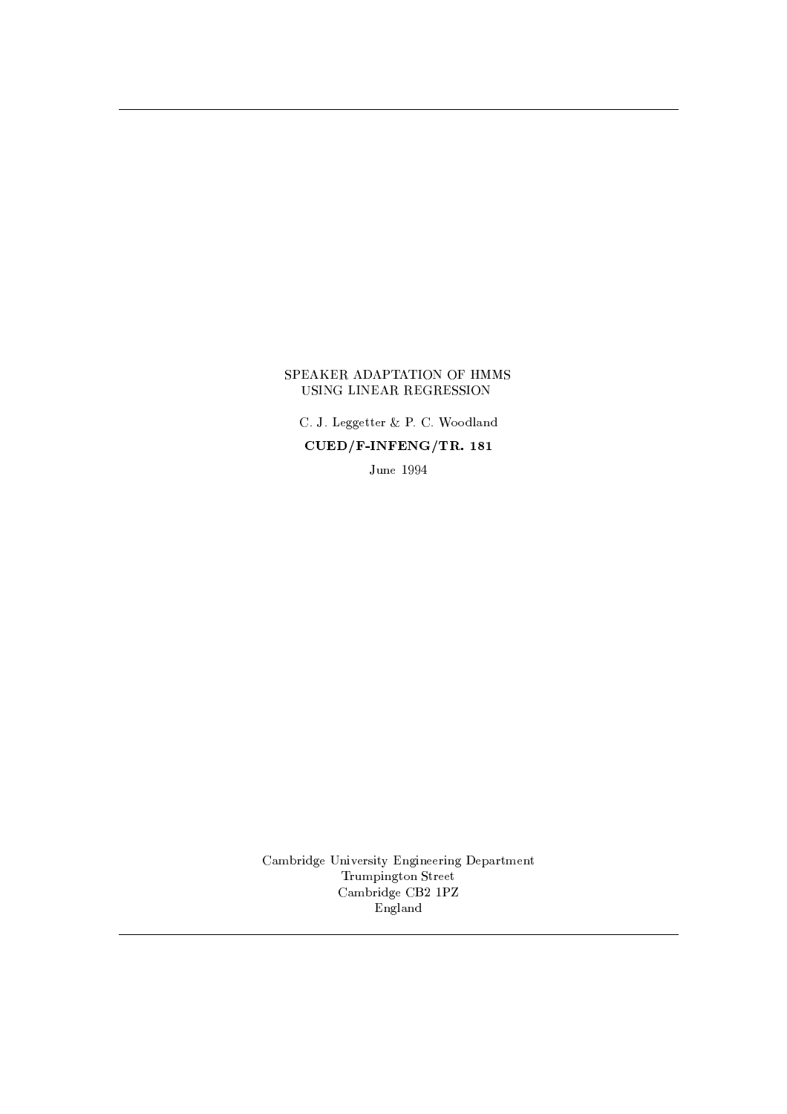## -  "!#\$ % & '

()-\*+)+!-,/.0.1,/223,/456)+()-798:8;-<>=@?-;  $\sim$  above the contract of  $\sim$  and  $\sim$ 

\*0A-?-,CBED1D@F

(=@GIH-43JK;-.0, ?-JKL0,/43MJK2ONP?-.0JK?-,/,Q4JK?-.C,QR+=@432GC,Q?S2 43A-GCR'JT?'.0281?C234,/,/2 (=@GIH-4JK;-.1,U(WVXPBYZ ?-.0<>=@?';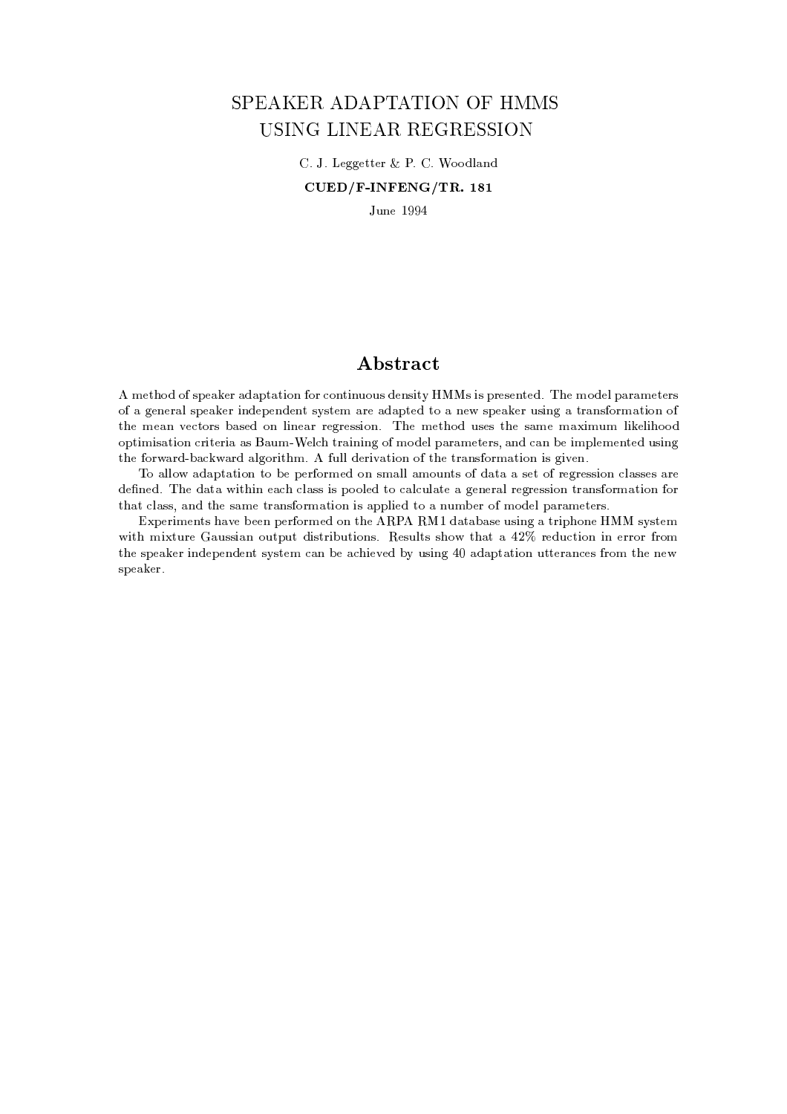# SPEAKER ADAPTATION OF HMMS USING LINEAR REGRESSION

()-\*+)+!-,/.0.1,/223,/456)+()-798:8;-<>=@?-;  $\mathcal{L}$  are the contracted and  $\mathcal{L}$  are the contracted as  $\mathcal{L}$  and  $\mathcal{L}$ 

\*0A-?-,CBED1D@F

# A bstract

 GC,Q2--8;i8 MR ,Y=0,/4\$=@; =@R-<sup>2</sup> =@2JK81?814 /80?2JK?SA-81A-M;-,/?-M3JK2ON^MJKM R'4,/M3,/?S23,/; ) -,&GC8;',/<R+=4 =@G,/2,Q4M 8l= .0,/?',/4 =<MR ,Y=0,/4 JK?-;-,/R ,Q?-;-,/?2M3NM2,QG =4,i=@; =@R-23,/;^238 <sup>=</sup> ?',M3R ,E=0,Q4A'MJK?-. <sup>=</sup> 24=?-M
O804G^=@23JT81?^8 and the matrix of the matrix of the matrix of the matrix of the matrix of the matrix of the matrix of the matrix of the matrix of the matrix of the matrix of the matrix of the matrix of the matrix of the matrix of the matr .URP = 2JK80. In the state of the state of the state of the state of the state of the state of the state of the state of the state of the state of the state of the state of the state of the state of the state of the state o 2-',814-l=4; H+=l=@43; =<T.18043JT2-G)#A-<K< ;-,/43JKL=@23JT81?P82-',
24 =@?-M8043GP=2JK80?^JTM.0JKL0,/?)

68P=@<K<K8 =@;+=R-<sup>2</sup> =2JK80?28CH , R ,/4
814G,/; 81? M3GP=<T<=@G80A-?2M8W;+=@2 <sup>=</sup> <sup>=</sup> M3,/28W4,/.14,/M3MJK80?/<>=@M3M,/M
=@43, ;-, ?-,/; ) -,;+=@2 =!JT2-JK?^,E="/<>=MMJKMR 880<K,/;^28E=</A-<>=@23,U= .1,/?-,/4 =@< 43,/.043,/MM3JT81?^24 =?-M
O804G^=@23JT81?#804 2- =@2 /<>=@MM\$+=@?-;^2--,M =GC,
234 =?-M
814G^=@2JK81?PJKM =R-R-<KJK,/;P238 <sup>=</sup> ?A-GH ,Q4l8G8;-,/< R+=4 =@G,Q2,/43ME)

%SR ,Q4JKGC,/?2M&+=YL0,H ,/,/?IR ,/4
O804G,/;I80?I2-',l + B;+=@2 =@H+=M,A-MJK?-. =234JKR'-81?-, MNM23,/G JK2- GCJ2A-43, =A-MM3J =? 81A-2R-A'2i;-JKM324JKH-A'2JK80?-MY)^ ,/MA'<T23MiM-8 2-+=2 =FSX)( 4,Q;-A'/23JT81? JK? ,Q44814\*O480G 2-',M3R ,E=0,/4lJK?-;',/R ,/?-;-,/?2lMNM23,/G+E=@?PH ,U=-JK,/L0,/;PHSN A'MJK?-. F, =@; =@R-<sup>2</sup> =@2JK81? A'22,Q4 =@?-/,/M.481G 2--,
?-, speaker.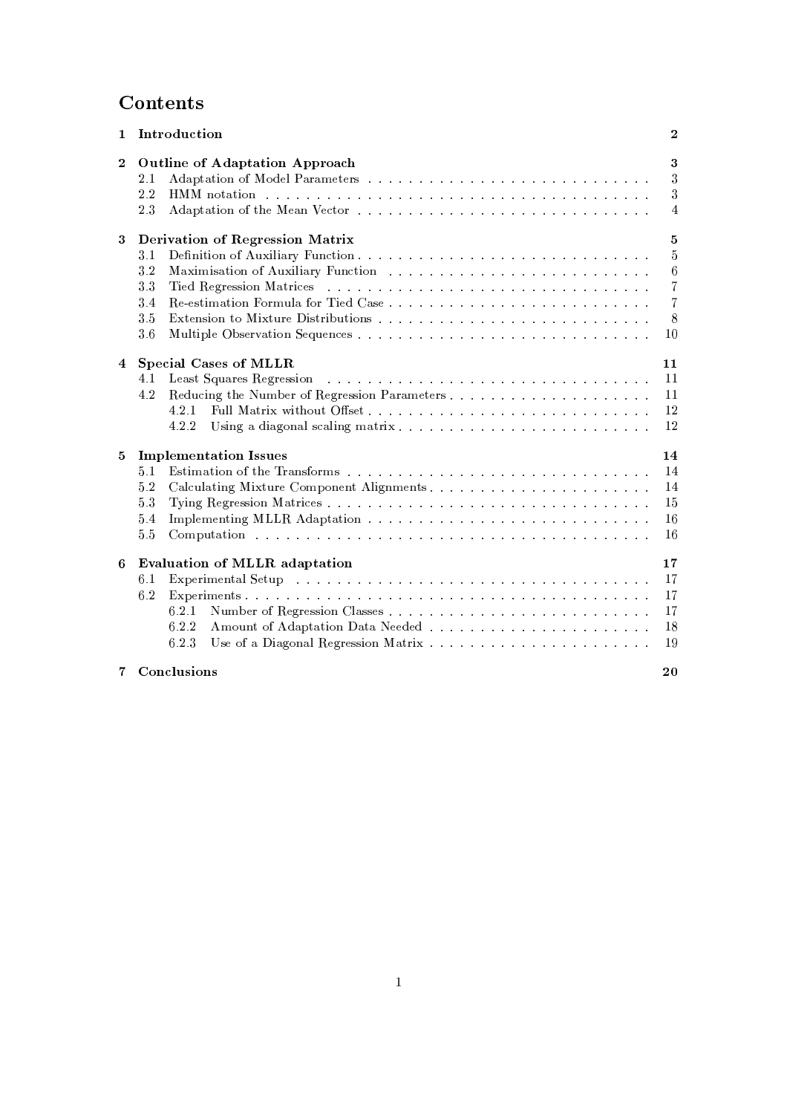# Contents

|              | 1 Introduction                                                                                                                                                                                                                                                                                   | $\bf{2}$                                      |
|--------------|--------------------------------------------------------------------------------------------------------------------------------------------------------------------------------------------------------------------------------------------------------------------------------------------------|-----------------------------------------------|
| $\mathbf{2}$ | <b>Outline of Adaptation Approach</b><br>2.1<br>2.2<br>HMM notation because in the contract of the contract of the contract of the contract of the contract of the contract of the contract of the contract of the contract of the contract of the contract of the contract of the co<br>23      | 3<br>3<br>3<br>4                              |
| 3            | Derivation of Regression Matrix<br>3.1<br>3.2<br>3.3<br>3.4<br>35<br>36                                                                                                                                                                                                                          | 5<br>$\overline{5}$<br>6<br>7<br>7<br>8<br>10 |
| 4            | <b>Special Cases of MLLR</b><br>4.1<br>4.2<br>4.2.1<br>4.2.2                                                                                                                                                                                                                                     | 11<br>11<br><b>11</b><br>12<br>12             |
| 5            | <b>Implementation Issues</b><br>5.1<br>5.2<br>5.3<br>5.4<br>5.5<br>Computation descriptions are a consequence of the contract of the contract of the contract of the contract of the contract of the contract of the contract of the contract of the contract of the contract of the contract of | 14<br>14<br>14<br>15<br>16<br>16              |
| 6            | Evaluation of MLLR adaptation<br>6.1<br>6.2<br>6.2.1<br>6.2.2<br>6.2.3                                                                                                                                                                                                                           | 17<br>17<br>17<br>17<br>18<br>19              |
|              | 7 Conclusions                                                                                                                                                                                                                                                                                    | 20                                            |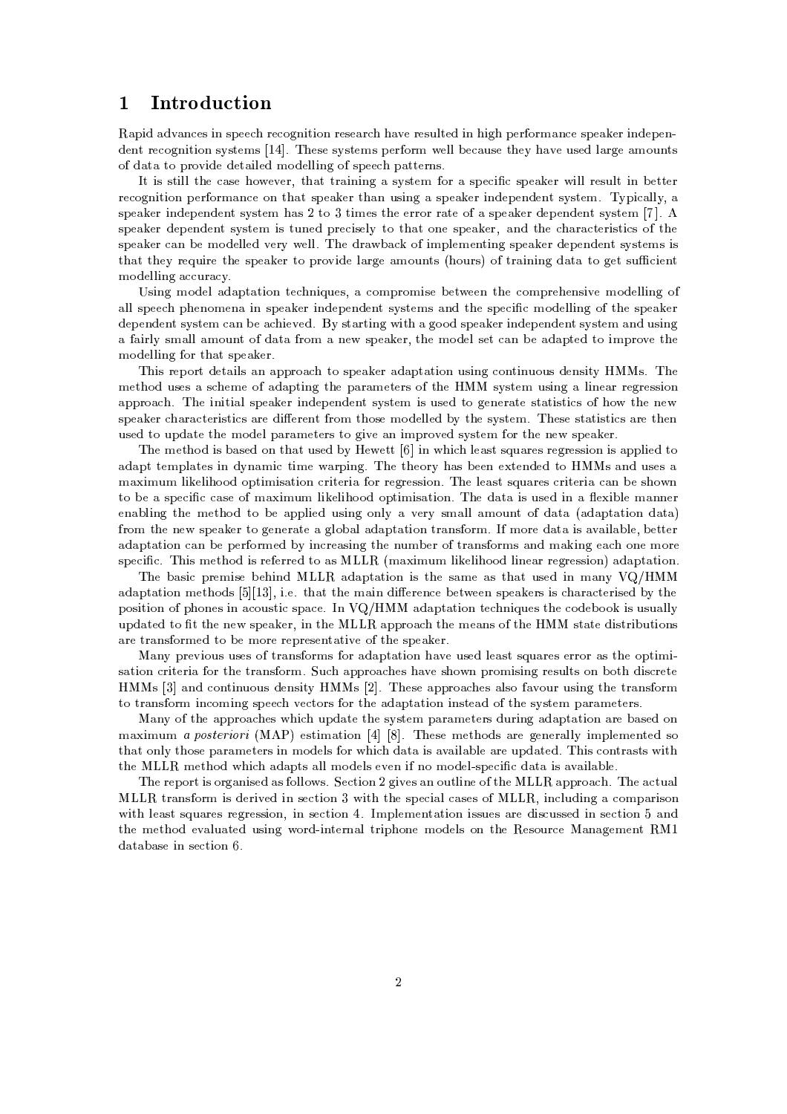# , and the same state  $\mathbf{A}$  and  $\mathbf{A}$

 =R-JK; =@;'L=@?'Q,/MJK? M3R ,/,I4,/81.0?-JK23JT81? 4,QM,E=4-+=EL0,4,/M3A-<K2,/; JK?'JT.) <sup>R</sup> ,/4
O804G^=@?'Q,lMR ,E=0,/4JK?-;',/R ,/?  $\,$  , and the sound of the sound of the sound of the sound of the sound of the sound of the sound of the sound of the sound of the sound of the sound of the sound of the sound of the sound of the sound of the sound of th 8&;+=@2 <sup>=</sup> <sup>238</sup> R'48@LSJK;-,;-,/2 =@JK<K,/;PG8;-,/<K<KJK?-. 8M3R ,/,^R+=@232,/43?-ME)

2UJTMM32JK<K<2-,!E=@M3,!-8,/L0,/4\$\$2-+=224 =JK?-JK?-.= MNM32,/G O804 = M3R ,/J MR ,E=0,/4\*JK<K<43,/MA'<T2JK?9H ,/232,/4 4, /80.1?-JK2JK80?fR ,Q4
814GP=?'/, 80?f2+=@2
MR ,E=0,/42+=@? A-MJK?-. <sup>=</sup> M3R ,E=0,Q4JK?-;-,/R ,Q?-;-,/?2M3NSM32,/G9) NR-JE=<T<KN+= MR ,Y=0,/4JK?-;-,QR ,/?-;-,/?2MNM23,/G +=@MX 238/ 2JKGC,/M2-,,/4438044 =2,8W= MR ,Y=0,/4;-,QR ,/?-;-,/?2MNM23,QG-)\$  $\mathcal{M} = \mathcal{M} = \mathcal{M} = \mathcal{M} = \mathcal{M} = \mathcal{M} = \mathcal{M} = \mathcal{M} = \mathcal{M} = \mathcal{M} = \mathcal{M} = \mathcal{M} = \mathcal{M} = \mathcal{M} = \mathcal{M} = \mathcal{M} = \mathcal{M} = \mathcal{M} = \mathcal{M} = \mathcal{M} = \mathcal{M} = \mathcal{M} = \mathcal{M} = \mathcal{M} = \mathcal{M} = \mathcal{M} = \mathcal{M} = \mathcal{M} = \mathcal{M} = \mathcal{M} = \mathcal{M} = \mathcal$ y , and the state of the state of the state of the state of the state of the state of the state of the state o .P; == .P; == .P; == .P; == .P; == .P; == .P; == .P; == .P; == .P; == .P; == .P; == .P; == .P; == .P; == .P; == .P; == .P; == .P; == .P; == .P; == .P; == .P; == .P; == .P; == .P; == .P; == .P; == .P; == .P; == .P; == .P; ==  $\mathcal{L}=\mathcal{L}=\mathcal{L}=\mathcal{L}=\mathcal{L}=\mathcal{L}=\mathcal{L}=\mathcal{L}=\mathcal{L}=\mathcal{L}=\mathcal{L}=\mathcal{L}=\mathcal{L}=\mathcal{L}=\mathcal{L}=\mathcal{L}=\mathcal{L}=\mathcal{L}=\mathcal{L}=\mathcal{L}=\mathcal{L}=\mathcal{L}=\mathcal{L}=\mathcal{L}=\mathcal{L}=\mathcal{L}=\mathcal{L}=\mathcal{L}=\mathcal{L}=\mathcal{L}=\mathcal{L}=\mathcal{L}=\mathcal{L}=\mathcal{L}=\mathcal{L}=\mathcal{L}=\mathcal{$ 

MJK?-. G8;-,/< =;+=@R'2 =@23JK80? 2,-?-JA-,/M\$6=/81GCR-4380GCJKM3, <sup>H</sup> ,Q2
,Q,/? 2--,#/81GCR-43,-,/?-M3JKL0, G8;-,/<K<KJK?-. 8 =@<K<MR ,Q,9R'-,/?-81GC,/? =CJK? M3R ,E=0,/4JK?-;-,/R ,/?';-,/?S2MNM32,/GMU=@?'; 2--, MR ,QJ GC8;',/<K<TJK?-.^8 2--, M3R ,E=0,Q4 ;-,/R ,Q?-;-,/?26MNM32,/G E=@? <sup>H</sup> ,=-JK,/L0,/; )WVWN M2 =423JT?'.JK2- =.088:; MR ,E=0,/46JK?-;',/R ,/?-;-,Q?S26M3NM2,QG =@?'; A-M3JT?'. <sup>=</sup> =@JK4<KN^MG^=@<K<=@GC8A'?S28 ; =2 <sup>=</sup> 4380G =I?-,%MR ,E=0,/402--, G8;-,/<\$M3,/2 E=?H , =;+=@R-23,/;238CJKGCR-438@L0,U2--, GC8:;-,/<K<KJT?'. 814l2+=@2MR ,Y=0,/4Y)

 'JTM4,QR 8042;-,/2 =@JK<KM
=? =@R-R'48S=f28 MR ,E=0,/4
=;+=@R-<sup>2</sup> =@23JT81?A-M3JK?-.#/81?S23JK?SA-81A-M;-,Q?-MJK2N^
^MY)U ', GC,Q2--8; A-M,QM=CM--,/G,i8 =;+=@R-23JK?-. 2-, R+=@4 =@GC,Q2,/43M8l2-,i MNM23,/G A-MJK?-. =C<TJK?-,Y=@4
4,/.14,/M3MJK80? =@R'R-48=) ', JK?-JK23J =<M3R ,E=0,Q4JT?';-,/R ,/?-;',/?S2M3NSM32,/G JTMA'M,/;928 .0,/?-,Q4 =@23, M2 =2JKM23J/M8-8 2--, ?-, MR ,Y=0,/4 +=4 =Q2,/43JTM32J/M=@4,
;'J-,/43,/?S2 481G 2-'80M,GC8;-,/<K<K,/;PHNC2--,
M3NM2,QG) -,/M,M2 =2JKM23J/M =4,
2-',/? arist and the second control of the second control of the second control of the second control of the second control of the second control of the second control of the second control of the second control of the second con

and the matrix of the matrix of the matrix of the matrix of the matrix of the matrix of the matrix of the matrix of the matrix of the matrix of the matrix of the matrix of the matrix of the matrix of the matrix of the matr =@; =@R-2
2,QGCR-<>=@23,/M
JT? ;-N?+=GCJi23JKGC, =@4R'JT?'.+) -, 2-',/8043N +=@M
H ,/,/? ,2,Q?-;-,/; 28P
M=?-;fA'M,/M = GP=JTGIA-<sup>G</sup> <TJ,Q<TJ-88;^80R-23JTGJTM =2JT80? /4JK23,/4J>= <sup>804</sup> 4,Q.04,QMMJK81? )# -,U<K,E=@M32MA+=@43,/M/4JK2,Q4J>=E=@? <sup>H</sup> ,UM--8?  $\mathcal{A} = \mathcal{A}$  , and the state of the state of the state of the state of the state of the state of the state of the state of the state of the state of the state of the state of the state of the state of the state of the ,/?+=H-<KJK?-. 2--,PG,/2--8:; 28 <sup>H</sup> , =@R-R'<TJK,/; A-M3JK?-. 80?-<KN <sup>=</sup> L0,/4N MG^=@<K<=GI80A-?2 8U; =@2 = =@; =@R-<sup>2</sup> =@23JT80? ;+=@2 = 4380G 2--,
?-, M3R ,E=0,Q4W238 .1,/?-,/4 =@23,= .0<K80H+=<=@; =@R-<sup>2</sup> =@2JK81? 24 =@?-M8043G)#G8043,;+=2 <sup>=</sup> JKM=YL=JT<>=H-<K, EH ,/223,/4 =@; =@R-<sup>2</sup> =@2JK81?KE=?^H ,R ,Q4
814GC,Q;^HN JT?-/4,E=MJK?-. 2--,U?SA-GIH ,/4 8 24 =@?-M8043GCM=@?-; GP=JK?-. ,E=^81?-,G8043, MR , /J 0)& -JKMWG,/2--8:; JKMW43,,/434,/; 238I=M!! GP=JKGIA-<sup>G</sup> <KJ0,/<KJ-88S; <TJT?-,E=4W43,/.043,/MM3JT81?W=;+=@R'2 =@23JK80? )

 ',PH =@MJ^R-43,/GCJKM,^H ,'JT?'; f! ! =@;+=R-<sup>2</sup> =2JK80? JKMI2--,^M =@GC,=MI2-+=2IA-M,/; JK? GP=?SN -@ =@; =@R-<sup>2</sup> =@2JK81? G,/2--8;'M -KB -SJ) ,0)2+=@2l2-',G^=@JK? ;-J-,/4,Q?'/,
H ,/2
W,/,/? MR ,E=0,/4MlJKM +=4 =/2,/43JKM,/;PHSN 2-, <sup>R</sup> 80M3JK2JK80?C8\$R'-81?-,/MWJT?^=/81A-M23JMR+=/,0)?/- =@;+=R-<sup>2</sup> =2JK80?C23,'?-JSA',/M 2-, /8;-,QH 88IJKM A-M3A+=@<K<KN , a construction of the construction of the construction of the construction of the construction of the construction of the construction of the construction of the construction of the construction of the construction of th =@43,
234 =@?'M
814GC,Q;P28IH ,
G8043,
4,QR-4,/M3,/?S2 =@23JTL0,8&2--,MR ,E=0,/4E)

f=@?SN^R-4,/LJK80A'M A'M,/M8W24 =@?-M8043GCM 804
=@; =@R-<sup>2</sup> =@2JK81? +=YL0, A-M,/;<K,E=@M32 MA+=@43,/M,/443804
=@M2--, 80R-23JKGCJ <sup>M</sup> =2JK80?K/43JT23,/4J>=N814l2-,24 =?-M
O804G9)\$:A'=@R-R'48S=',/M +=EL0,M-'8?^R-481GCJKMJK?-.I43,/MA-<K23Ml81?PH 812-^;-JKM-/43,/2, f^M-l=@?-; /80?2JK?SA-81A-M;',/?-MJK2N ^M X-3) -,/M3, =@R'R-48=',/M=<TM38=YL080A'4A-M3JT?'. 2-',i24 =?-M
O804G . Imagine in the second contract of the second contract of the second contract of the second contract of the second contract of the second contract of the second contract of the second contract of the second contract of th

f=@?SNC82--, =@R-R-438S=-,/M -J^A-<sup>R</sup> ;+=@23,
2--,MNM23,/G R+=4 =GC,/23,/4M;-A-4JK?-.C=@;+=R-<sup>2</sup> =2JK80?=@4,H+=@M3,/;P80?  $\mathcal{L}_{\text{S}}$  ,  $\mathcal{L}_{\text{S}}$  ,  $\mathcal{L}_{\text{S}}$  ,  $\mathcal{L}_{\text{S}}$  ,  $\mathcal{L}_{\text{S}}$  ,  $\mathcal{L}_{\text{S}}$  ,  $\mathcal{L}_{\text{S}}$  ,  $\mathcal{L}_{\text{S}}$  ,  $\mathcal{L}_{\text{S}}$  ,  $\mathcal{L}_{\text{S}}$  ,  $\mathcal{L}_{\text{S}}$  ,  $\mathcal{L}_{\text{S}}$  ,  $\mathcal{L}_{\text{S}}$  ,  $\mathcal{L}_{\text{S}}$ 2- =@2&81?-<KN 2-80M3, R+=@4 =@G,/2,/43M&JK? GC8;',/<KM <sup>804</sup> -J ;+=2=UJKMl=EL=JK< =H-<K,=@43, A-<sup>R</sup> ;+=@23,/; ) -JKM./81?S24 =@M32M.JK2- 2-',U!! GC,/2-8;" 'J =;+=@R-23M =<K< GC8;-,Q<TM,/L0,/?^J?-8IGC8;',/<M3R ,/J 
; =@2 <sup>=</sup> JKM =YL=JK< =H'<,1)

 ',4,/R 8142-JKM 804.=@?-JKM3,/;i=@M 80<K<K8ME)6,/23JT81?iXl.1JKL0,/M=?U80A-23<TJK?-,8+2-,&!! =R-R-48= ) -,&=/2A+=< !! 24 =@?-M8043G JKM ;-,/43JKL0,/; JK? M,Q2JK80? JK2 2--,UM3R ,/J>=@< E=@M3,/M 8l! ! N+JT?-/<KA-;-JK?-. =Q80GCR =@4JKM380? JK2- <K,E=@M32MA+=@43,/M
4,/.14,/M3MJK80? \$JK? M,/23JK80? F+)UGCR-<K,/G,/?S2 =@23JT81?fJKM3MA-,/MU=4, ;-JKM-/A-M3M,/; JK?fM3,/23JT81? P=@?'; 2-', G,/2--8:; ,/L0=@<KA+=@23,/; A-MJK?-. 814; JK?S2,Q4?+=<l243JTR--80?-,CGC8:;-,/<KM 80? 2--,P ,/M380A-4/,P=@?+=.0,/G,/?S2 B ;+=2 =@H =@M,JK?PM, /2JK80?\*-)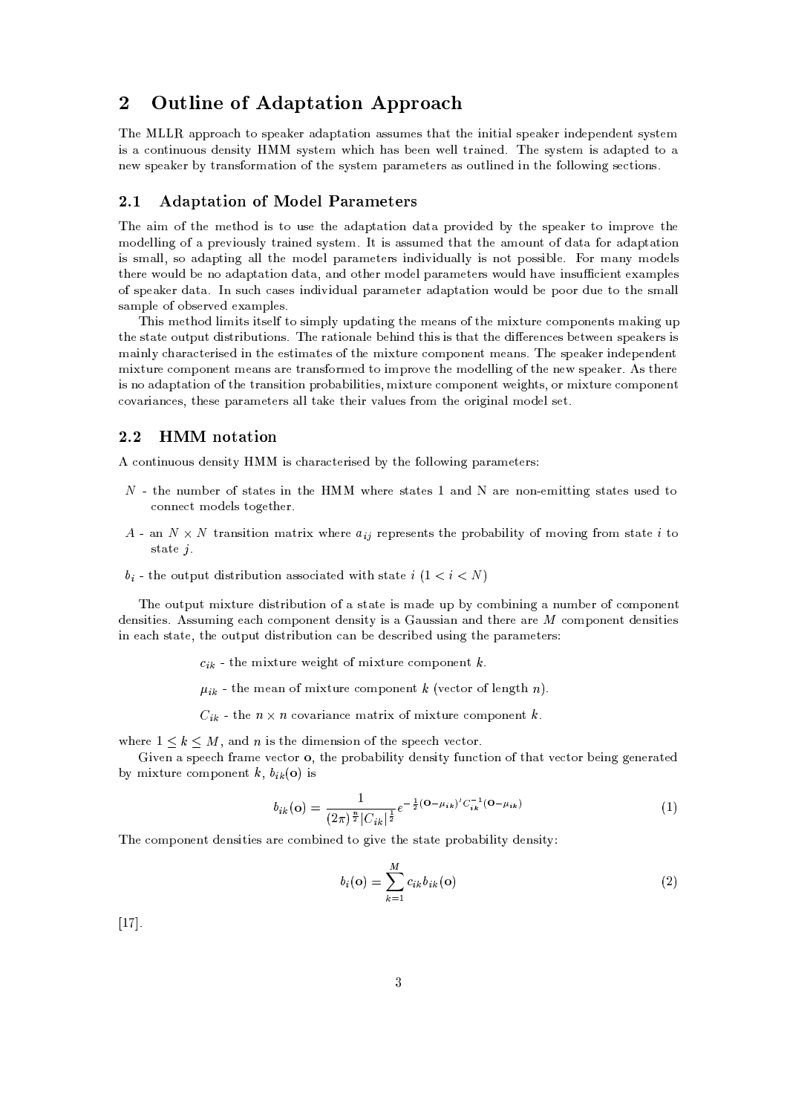# 2 Outline of Adaptation Approach

 -,i! ! %=R-R-48=^28 MR ,Y=0,/4=@;+=R-<sup>2</sup> =2JK80?f=@M3MA-G,/M2+=@2 2-',JK?-JK2J>=@<M3R ,E=0,Q4JK?-;-,QR ,/?-;-,/?2M3NM2,QG JKMi="/80?2JK?SA-81A-MU;-,/?-M3JK2ON M3NM2,QGQ 'J +=@MUH ,/,/? ,/<K<&234 =JT?',/; )C -, MNM23,/G JKM =;+=@R'2,/; 28f= ?-,MR ,E=0,/4lHNC24 =@?-M8043GP=@23JK80?P82-,
M3NSM32,/G R+=4 =@G,/2,Q4M=@M80A-23<KJT?',/;PJK?P2-,O80<K<K8JK?-.IM,Q2JK80?-MY)

### 2.1 Adaptation of Model Parameters

 -,^=@JKG 82-,CG,/2-'8; JKM 289A-M, 2--,^=@;+=R-<sup>2</sup> =2JK80? ;+=@2 =R'48@LSJK;-,Q; HSN 2--, MR ,E=0,/4 <sup>238</sup> JKGR-48@L0,C2-GC8:;-,/<K<KJT?'. 8= R'4,/LJK80A-M3<KN^234 =JT?',/;fM3NSM32,/G9)&2JKMU=@MM3A-GC,Q;f2- =@22-, =GC81A-?S2
8l; =@2 =814=@; =@R-<sup>2</sup> =@2JK81? JKM M3GP=@<K<M8 =@;+=R-2JK?-. =@<K<2--,^GC8;-,Q< R+=4 =GC,/23,/4MIJT?';-JKLSJK;-<sup>A</sup> =@<K<TN JTM ?-<sup>812</sup> <sup>R</sup> 80M3MJKH-<K,0)-804IGP=@?N GC8;-,Q<TM 2-',/4, 81A-<K;CH ,?-<sup>8</sup> =@;+=R-<sup>2</sup> =2JK80?C; =@2 =-=?-;C802-,/4 G8;-,/<#R+=@4 =@GC,Q2,/43M 80A'<T;# =EL0,JK?-MA /JK,/?S2 ,:=GCR-<K,/M , and its contract the contract of the contract of the contract of the contract of the contract of the contract of the contract of the contract of the contract of the contract of the contract of the contract of the contra  $\mathcal{A} = \mathcal{A} \mathcal{A}$  and  $\mathcal{A} = \mathcal{A} \mathcal{A}$  and  $\mathcal{A} = \mathcal{A} \mathcal{A}$  and  $\mathcal{A} = \mathcal{A} \mathcal{A}$  and  $\mathcal{A} = \mathcal{A} \mathcal{A}$  and  $\mathcal{A} = \mathcal{A} \mathcal{A}$  and  $\mathcal{A} = \mathcal{A} \mathcal{A}$  and  $\mathcal{A} = \mathcal{A} \mathcal{A}$  and  $\mathcal{A} = \mathcal{A$ 

 'JTM G,/2-'8; <KJKGCJK23M&JK23M,/<\$28 MJKGCR'<N A'R ;+=@2JT?'.i2-, G,E=?-<sup>M</sup> 8\$2--,GJS2A'4, /80GCR 80?-,/?2M GP=SJT?-.iA'R  $\,$  , and the state of the state of the state of the state of the state of the state of the state of the state of the state of the state of the state of the state of the state of the state of the state of the state of th GP=JK?-<KN+=4 =/2,/43JKM,/;CJT?C2-', ,/M32JKGP=2,/M 8\$2--,GCJ2A'4,Q80GCR 81?-,/?2&G,E=@?'ME)+ -,MR ,E=0,/4&JK?-;',/R ,/?-;-,Q?S2 GCJ2A'4, Q80GCR 81?-,/?2G,E=@?-<sup>M</sup> =@43,l234 =?-M
814G,/; 238UJKGCR'48@L0,l2-',lGC8;',/<K< JT?-.U8 2-',l?-, MR ,E=0,/4E)+M2-,/4, JKM6?-8U=@; =@R-<sup>2</sup> =@2JK81?i8#2--, <sup>234</sup> =@?'MJK2JK80? R-4380H+=H-JK<KJT23JK,/M GCJ2A'4, /80GR 80?-,Q?S2 ,/JK.)S2M\$Q8146GCJ2A-43, /80GR+81?-,/?2  $\mathcal{A}=\mathcal{A}$  , and a set of a set of a set of a set of a set of a set of a set of a set of a set of a set of a set of a set of a set of a set of a set of a set of a set of a set of a set of a set of a set of a set of a

### 2.2 HMM notation

6/80?2JK?SA-81A-M;-,/?-M3JT2NC JKM +=4 =Q2,/43JTM3,/;PHNC2--, 80<K<K8JT?'. R+=4 =GC,/23,/4M

- 2-, ?A-GIH ,/4 8M2 =2,/M JK? 2--,C
f -,Q4,CM2 =2,/MPBP=@?'; =4,C?-80? ,/GJT232JK?-. M2 =@23,/M A-M,/; 28 /81?-?-,/2GC8:;-,/<KMl2380.1,/2--,Q4E)
- $\Delta$  an  $N \times N$  transition matrix where a represents the probability of moving from state i to M2 =@23, ) !
- b. the output distribution associated with state  $i(1 \lt i \lt N)$

 ',U80A'2R-A-2GCJ2A'4,U;'JTM3243JTH'A-2JK80?8l=IM2 =@23,UJKM G^=@;-, A-<sup>R</sup> HN"/80GIH-JK?-JK?-.P= ?A-GH ,/48 /80GIR 80?-,Q?S2 ;-,/?'MJK2JK,/MY)&MM3A-GCJK?-.I,E=K/80GR 80?-,Q?S2;-,/?-M3JK2ON JTM=I =A-MM3J =? =?-;^2--,/43, =@4, /80GR 80?-,/?2;-,/?-M3JT23JK,/M & JK?P,E=^M2 =2, -2-,
81A-2R'A-2l;'JTM3243JTH'A-2JK80?KE=@?^H ,
;-,QM-/43JTH ,Q;PA-M3JT?'. 2-,
R+=4 =GC,/23,/4M

- $c_{ik}$  the mixture weight of mixture component  $k$  . The mixture of  $\bar{c}_{ik}$
- $\mu_{\nu}$  the mean of mixture component  $\ell$  (vector of length n)
- C the  $n \times n$  coverience metrix of mixture component  $k$

-,/43, <sup>B</sup> +=@?-; JKMl2-,
;'JTG,/?-M3JT81?P82-',
MR ,Q,^L0,/2814E) ( & \* / /

by mixture component  $k$ ,  $h_0(\mathbf{a})$  is UJTL0,Q? = M3R ,/,!4 =@G, L0, /2814 :2--,R-4380H+=H-JK<TJK2N ;-,/?'MJK2N A-?'Q2JK80?C8\$2+=@2 L0,/23804 <sup>H</sup> ,/JK?-. .1,/?-,/4 =@23,/;

$$
b_{ik}(\mathbf{o}) = \frac{1}{(2\pi)^{\frac{n}{2}} |C_{ik}|^{\frac{1}{2}}} e^{-\frac{1}{2}(\mathbf{o} - \mu_{ik})' C_{ik}^{-1}(\mathbf{o} - \mu_{ik})}
$$
(1)

-,\*/80GR 80?-,/?2l;',/?-MJK23JT,QM =4,Q80GIH-JK?-,/;P238 .1JKL0,
2-,
M32 =@23,
R-4380H+=H-JK<KJT2NC;-,/?'MJK2ON

$$
b_i(\mathbf{o}) = \sum_{k=1}^{M} c_{ik} b_{ik}(\mathbf{o})
$$
\n(2)

KB )-3)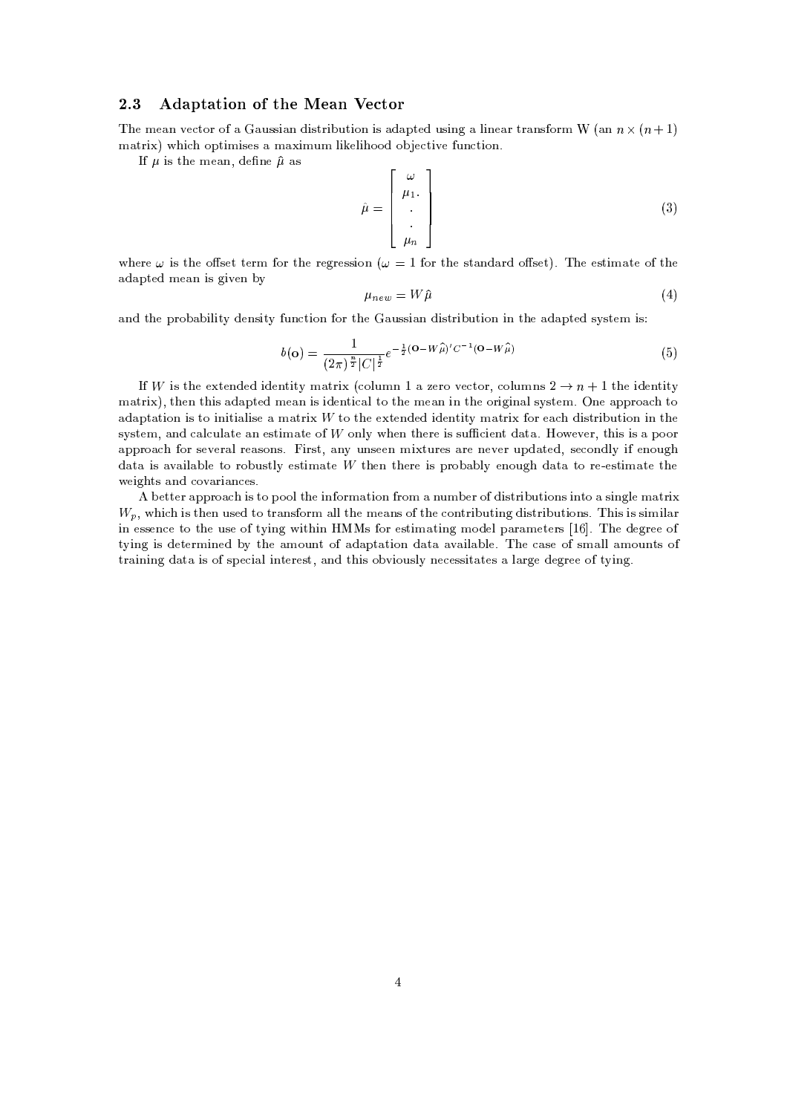### 2.3 Adaptation of the Mean Vector

The mean water of a Coussian distribution is adapted using a linear transform W (an  $n \vee (n+1)$ as in the 23JTG state of the 23JTG state of the 23JTGC state of the 23JTGC state of the 23JTGC state of the 23

If  $\mu$  is the mean define  $\hat{\mu}$  as

$$
\hat{\mu} = \begin{bmatrix} \omega \\ \mu_1 \\ \vdots \\ \mu_n \end{bmatrix}
$$
\n(3)

 $\mu$  begave to the effect term for the remeasier  $\mu = 1$  for the standard effect). The estimate of the  $\sim$  23,  $\sim$  23,  $\sim$  23,  $\sim$  23,  $\sim$  23,  $\sim$  23,  $\sim$  23,  $\sim$  23,  $\sim$  23,  $\sim$  23,  $\sim$  23,  $\sim$  23,  $\sim$  23,  $\sim$  23,  $\sim$  23,  $\sim$  23,  $\sim$  23,  $\sim$  23,  $\sim$  23,  $\sim$  23,  $\sim$  23,  $\sim$  23,  $\sim$  23,  $\sim$  23,  $\sim$ 

$$
\mu_{new} = W\hat{\mu} \tag{4}
$$

=@?';P2-',
R-4380H+=H-JK<TJK2NC;-,/?-M3JK2ONA'?'/2JK81? 814l2-,U i=@A-M3MJ>=@?^;-JKM243JKH-A-2JK81?PJK?P2-,U=;+=@R-23,/;PM3NM2,QG JKM

$$
b(\mathbf{o}) = \frac{1}{(2\pi)^{\frac{n}{2}}|C|^{\frac{1}{2}}}e^{-\frac{1}{2}(\mathbf{o}-W\hat{\mu})'C^{-1}(\mathbf{o}-W\hat{\mu})}
$$
(5)

If III is the extended identity metrix (eclumn 1 e gave vector, eclumns 9  $\rightarrow \infty$  + 1 the identity GP=243J! @2--,/? 2--JKMl=;+=@R-23,/;CG,E=@?CJKM JK;-,Q?S2JE=<#28 2-,GC,Y=@?CJK?C2-',804JK.1JT? =@<#MNM23,/G)#?',
=@R-R-438S=C238 odontotion is to initialize a metrix  $M/t$  a the extended identity metrix for each distribution in the set of the set of the set of the set of the set of the set of the set of the set of the set of the set of the set of th  $\alpha$  and algulate an estimate of  $W$  only when then is sufficient data. However, this is a near  $\alpha$ are a constant to the constant of the constant of the constant of the constant of the constant of the constant of the constant of the constant of the constant of the constant of the constant of the constant of the constant data is evolleble to nebustly estimate  $M$  then there is nucleably enough data to ne estimate the weights and covariances.

 $W_{\gamma}$  which is then used to transform all the means of the contributing distributions. This is similar <sup>H</sup> ,/223,/4\$=@R-R'48S=iJKM28R 881<2-',JK?O804G^=@23JT81?\*481G <sup>=</sup> ?SA-GIH ,/48 ;-JKM234JKH-A-23JK80?-MJK?S28= MJK?-.0<,&GC=@234J JK?^,QMM,Q?'/,U28 2--,UA-M3,8&2NJK?-. JT2-JK?^^M 814,QM2JKG^=@2JK?-. G8;-,/<R =@4 =GC,/23,/4M KB
 -3) -,U;-,Q.04,Q,8 2NSJK?-.JKMU;',/2,/43GCJK?-,/;HSN 2-', =@G80A-?2U8
=;+=@R-<sup>2</sup> =@23JT81? ;+=2 ==EL=JK< =H-<T,0) ',E=M, 8MG^=@<K<l=@G80A-?2M 8 24 =@JK?-JK?-.I;+=@2 <sup>=</sup> JKM8&MR ,/J>=< JT?2,/43,/M2\$+=@?-;^2--JKM80HLJT81A-M<KNC?-, /,/MM3JK2 =@23,/M= <>=@43.0,;-,/.043,/,
82NJT?'.+)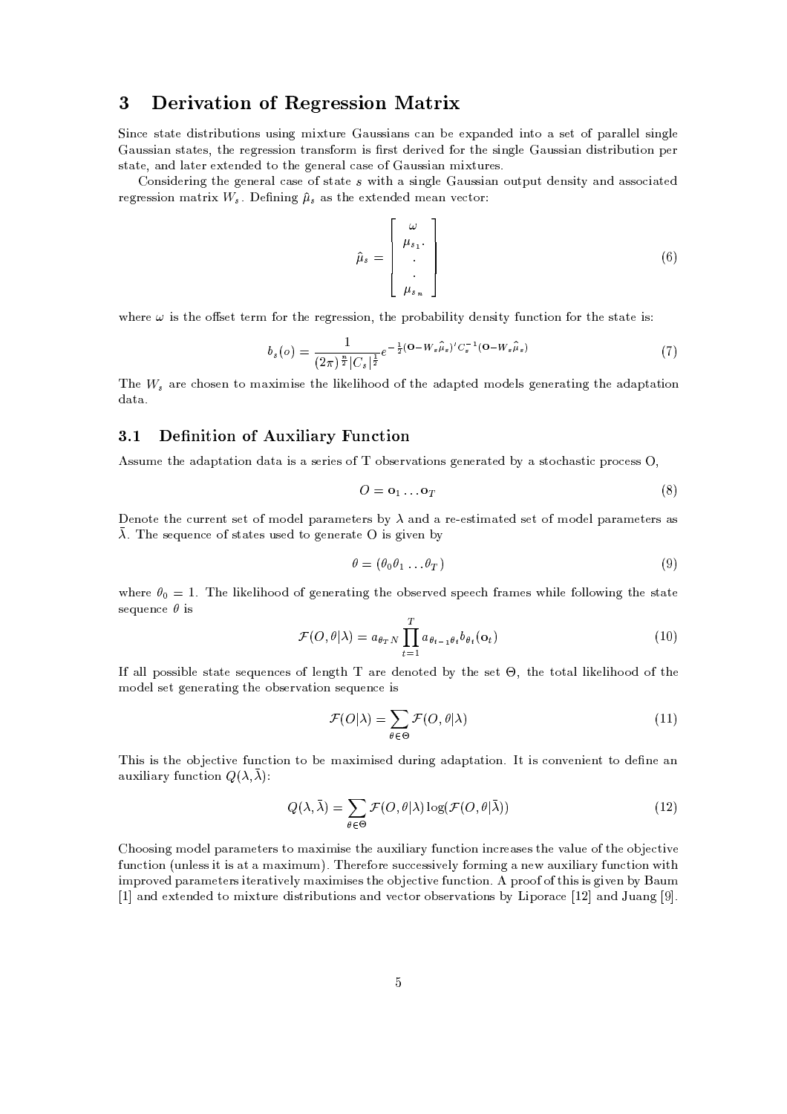# 3 Derivation of Regression Matrix

JK?'/,CM2 =@2,C;-JKM243JKH-A-2JK81?-MiA'MJK?-. GCJ2A-43, =@A'MMJ>=?-<sup>M</sup> Y=@? <sup>H</sup> ,C,R+=@?-;',/; JK?S2389=M,/2 8R+=@4 =@<K<K,/<lMJK?-.1<T, =A-MM3J =?M2 =2,/M\$ 2-, 4,/.14,/M3MJK80?234 =@?'M
814G JKM 4M32;-,/43JKL0,/;"8042-, MJK?-.0<K, =A-MM3J =?;-JKM243JKH-A-2JK81? <sup>R</sup> ,Q4  $\mathcal{L}$  , and the extent of the extension of the extension of the extension of the extension of the extension of the extension of the extension of the extension of the extension of the extension of the extension of the e

regression matrix  $W_s$  Defining  $\hat{\mu}_s$  as the extended mean vector: Considering the general case of state  $\epsilon$  with a simple Conssion output depaity and associated

$$
\hat{\mu}_s = \begin{bmatrix} \omega \\ \mu_{s_1} \\ \vdots \\ \mu_{s_n} \end{bmatrix}
$$
\n(6)

relation is the effect term for the regression the probability depaity function for the state is:

$$
b_s(o) = \frac{1}{(2\pi)^{\frac{n}{2}} |C_s|^{\frac{1}{2}}} e^{-\frac{1}{2} (\mathbf{O} - W_s \hat{\mu}_s)' C_s^{-1} (\mathbf{O} - W_s \hat{\mu}_s)}
$$
(7)

The  $W_{\gamma}$  are chosen to maximise the likelihood of the adapted models generating the adaptation ;+=2 =-)

## 3.1 Definition of Auxiliary Function

M3MA-G,
2-,U=;+=@R-<sup>2</sup> =@23JT81?P;+=2 <sup>=</sup> JKM <sup>=</sup> M,/43JK,/Ml8 81H-M,Q4L=2JK80?'Ml.1,/?-,/4 =@2,Q;PHSNP= M238 =@M23J
R-438/,/M3M !

$$
O = \mathbf{o}_1 \dots \mathbf{o}_T \tag{8}
$$

,/?-812, 2-',N/A-443,/?S2M,/28WGC8:;-,/<\$R+=@4 =@GC,Q2,/43MHSN =?-; =I4,,/M32JKGP=2,/;M3,/28WGC8;',/<6R =@4 =GC,/23,/4M=@M )\$ -,M, A-,/?-/,
8M2 =@23,/MA-M,/;^28I.0,/?',/4 =2, JKM.0JKL0,/?PHN

$$
\theta = (\theta_0 \theta_1 \dots \theta_T) \tag{9}
$$

where  $\theta_2 = 1$ . The likelihood of generating the observed speech frames while following the state M,?SA',/?'/, JTM

$$
\mathcal{F}(O,\theta|\lambda) = a_{\theta_T N} \prod_{t=1}^T a_{\theta_{t-1}\theta_t} b_{\theta_t}(\mathbf{o}_t)
$$
\n(10)

=@<K<WR 80MM3JKH-<K, M32 =2,IM, A-,Q?'/,/M 8<T,Q?-.02 =@43, ;',/?-8023,/;HSN92--,IM3,/2!l2--,I23802 =@< <KJ0,/<KJ-88;82--, GC8:;-,/< M,Q2l.1,/?-,/4 =@2JK?-.I2-',
80H'M,/43L=@23JT81?PM3, A-,/?'/,JKM

$$
\mathcal{F}(O|\lambda) = \sum_{\theta \in \Theta} \mathcal{F}(O, \theta | \lambda)
$$
\n(11)

 -JKMJKM2--, 80H ,Q2JKL0,NA-?'/23JK80?928^H , GP=SJKGJTM3,/;9;-A-4JK?-.=;+=@R'2 =@23JK80? ) 2JKM\*/80?L0,/?-JK,/?2
238^;-, ?', =? =@A-SJK<KJ>=@43NA-?'/23JK80? !"#\$

$$
Q(\lambda, \bar{\lambda}) = \sum_{\theta \in \Theta} \mathcal{F}(O, \theta | \lambda) \log(\mathcal{F}(O, \theta | \bar{\lambda}))
$$
\n(12)

(-881MJK?-.UGC8;',/<'R+=@4 =@G,/2,/43M28UGP=JKGIJTM,l2--, =@A'JK<KJ =@4N\*A'?'/2JK81? JT?'/43,E=@M3,/M2--,lL=@<KA-,l8 2--,l80H ,/23JKL0, A-?-/2JK80? A-?-<K,/MM\$JK2\$JKM=@2=GP=JTGIA-G/)1 -,Q4,814,WMA-/,/M3MJKL0,/<KN814GJT?'.U=?', =A'JK<TJ>=4NOA-?'/23JT81? JK2 JKGCR-438L0,Q;UR+=4 =GC,/23,/4M JK2,/4 =@23JTL0,Q<TNGP=JKGCJM3,/M 2--,80H , /2JKL0, A-?'/23JK80? ): R-488+8+2-JKM-JKM .0JKL0,/? HSN
V=@A'G KB -=@?';C,S23,/?-;-,Q;C238 GCJ2A'4,;-JKM234JKH-A-23JT81?-M=@?'; L0,/2814W80H-M3,/4L0=@23JT81?-MWHSN !#JKR <sup>804</sup> =/,KBYX-=@?';C\*1A+=@?'. D)-)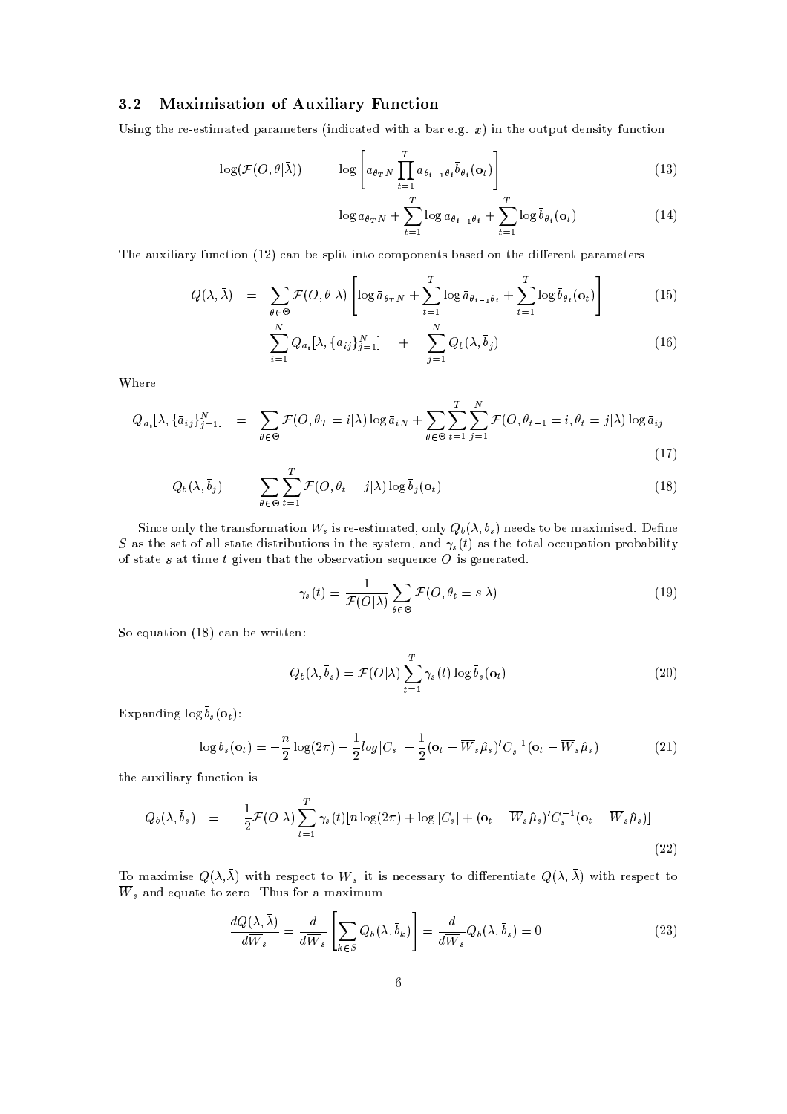# 3.2 Maximisation of Auxiliary Function

Using the ne estimated nonometers (indicated with a bon e.g.  $\bar{x}$ ) in the extract density function

$$
\log(\mathcal{F}(O,\theta|\bar{\lambda})) = \log \left[ \bar{a}_{\theta_T N} \prod_{t=1}^T \bar{a}_{\theta_{t-1}\theta_t} \bar{b}_{\theta_t}(\mathbf{o}_t) \right]
$$
(13)

$$
= \log \bar{a}_{\theta_T N} + \sum_{t=1}^T \log \bar{a}_{\theta_{t-1}\theta_t} + \sum_{t=1}^T \log \bar{b}_{\theta_t}(\mathbf{o}_t)
$$
(14)

-, =@A'JK<KJ =4NA'?'/2JK81? BYX E=@?^H ,
M3R-<KJT2JK?S238/81GCR 81?-,/?S23MlH =@M,Q;P80?^2--,;-J-,/4,/?2lR =@4 =GC,/23,/4M

$$
Q(\lambda, \bar{\lambda}) = \sum_{\theta \in \Theta} \mathcal{F}(O, \theta | \lambda) \left[ \log \bar{a}_{\theta_T N} + \sum_{t=1}^T \log \bar{a}_{\theta_{t-1} \theta_t} + \sum_{t=1}^T \log \bar{b}_{\theta_t}(\mathbf{o}_t) \right]
$$
(15)

$$
= \sum_{i=1}^{N} Q_{a_i} [\lambda, \{\bar{a}_{ij}\}_{j=1}^{N}] + \sum_{j=1}^{N} Q_b(\lambda, \bar{b}_j)
$$
 (16)

7>-,Q4,

$$
Q_{a_i}[\lambda, \{\bar{a}_{ij}\}_{j=1}^N] = \sum_{\theta \in \Theta} \mathcal{F}(O, \theta_T = i | \lambda) \log \bar{a}_{iN} + \sum_{\theta \in \Theta} \sum_{t=1}^T \sum_{j=1}^N \mathcal{F}(O, \theta_{t-1} = i, \theta_t = j | \lambda) \log \bar{a}_{ij}
$$
\n(17)

$$
Q_b(\lambda, \bar{b}_j) = \sum_{\theta \in \Theta} \sum_{t=1}^T \mathcal{F}(O, \theta_t = j | \lambda) \log \bar{b}_j(\mathbf{o}_t)
$$
\n(18)

Since only the transformation W, is re-estimated only  $Q_k(\lambda, \bar{b})$  needs to be maximised. Define S as the set of all state distributions in the system, and  $\gamma$ , (t) as the total occupation probability  $\mathcal{S}$  and the contract of the contract of the contract of the contract of the contract of the contract of the contract of the contract of the contract of the contract of the contract of the contract of the contract of

$$
\gamma_s(t) = \frac{1}{\mathcal{F}(O|\lambda)} \sum_{\theta \in \Theta} \mathcal{F}(O, \theta_t = s|\lambda)
$$
\n(19)

So equation  $(18)$  can be written:

$$
Q_b(\lambda, \bar{b}_s) = \mathcal{F}(O|\lambda) \sum_{t=1}^T \gamma_s(t) \log \bar{b}_s(\mathbf{o}_t)
$$
\n(20)

Expanding  $\log \overline{b}$  (0.)

$$
\log \bar{b}_s(\mathbf{o}_t) = -\frac{n}{2}\log(2\pi) - \frac{1}{2}\log|C_s| - \frac{1}{2}(\mathbf{o}_t - \overline{W}_s\hat{\mu}_s)'C_s^{-1}(\mathbf{o}_t - \overline{W}_s\hat{\mu}_s)
$$
(21)

2-',U=@A-SJK<KJ>=@43NA-?'/23JK80?PJKM

$$
Q_b(\lambda, \bar{b}_s) = -\frac{1}{2} \mathcal{F}(O|\lambda) \sum_{t=1}^T \gamma_s(t) [n \log(2\pi) + \log |C_s| + (\mathbf{o}_t - \overline{W}_s \hat{\mu}_s)' C_s^{-1} (\mathbf{o}_t - \overline{W}_s \hat{\mu}_s)]
$$
\n(22)

To maximise  $O(\lambda, \bar{\lambda})$  with respect to  $\overline{W}$ , it is necessary to differentiate  $O(\lambda, \bar{\lambda})$  with respect to  $W_{\rm \ast}$  and equate to zero. Thus for a maximum

$$
\frac{dQ(\lambda,\bar{\lambda})}{d\overline{W}_s} = \frac{d}{d\overline{W}_s} \left[ \sum_{k \in S} Q_b(\lambda, \bar{b}_k) \right] = \frac{d}{d\overline{W}_s} Q_b(\lambda, \bar{b}_s) = 0 \tag{23}
$$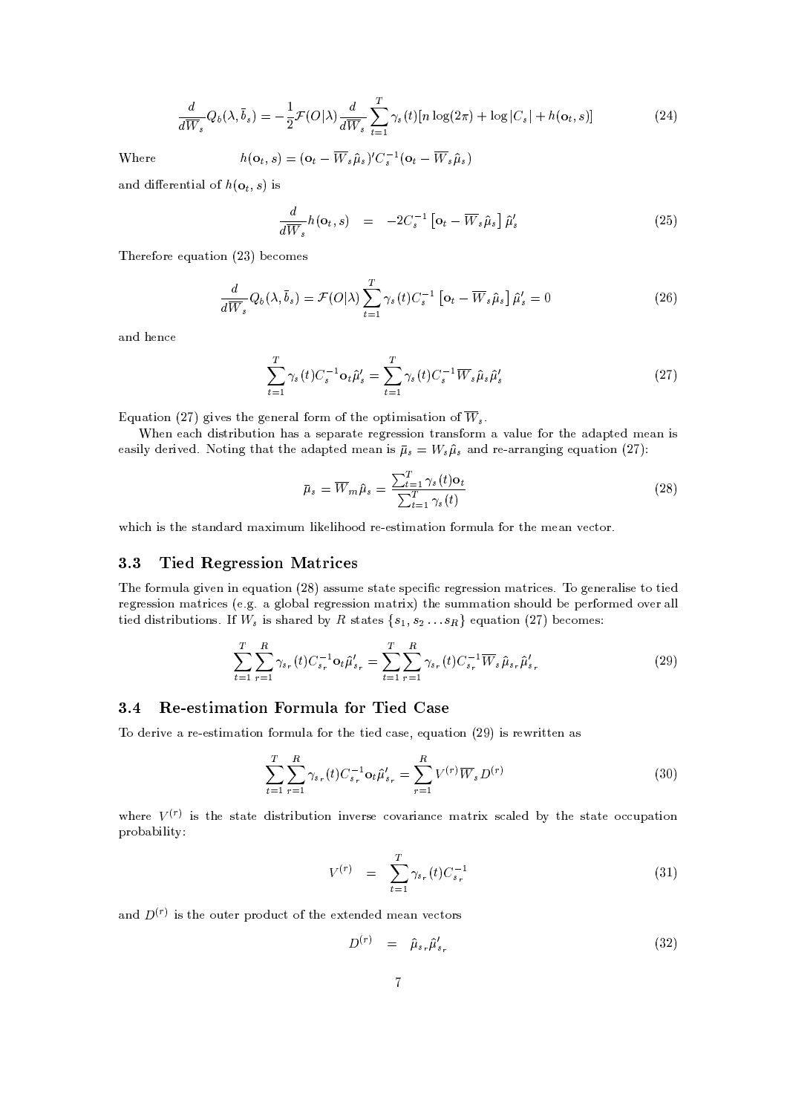$$
\frac{d}{d\overline{W}_s}Q_b(\lambda,\overline{b}_s) = -\frac{1}{2}\mathcal{F}(O|\lambda)\frac{d}{d\overline{W}_s}\sum_{t=1}^T \gamma_s(t)[n\log(2\pi) + \log|C_s| + h(\mathbf{o}_t,s)]\tag{24}
$$

Where

ere 
$$
h(\mathbf{o}_t, s) = (\mathbf{o}_t - \overline{W}_s \hat{\mu}_s)' C_s^{-1} (\mathbf{o}_t - \overline{W}_s \hat{\mu}_s)
$$

and differential of  $h(\alpha, \epsilon)$  is

$$
\frac{d}{d\overline{W}_s}h(\mathbf{o}_t,s) = -2C_s^{-1}\left[\mathbf{o}_t - \overline{W}_s\hat{\mu}_s\right]\hat{\mu}_s'
$$
\n(25)

-,/43,814,
,?SA =@2JK81? <sup>X</sup> WH ,/81GC,/M

$$
\frac{d}{d\overline{W}_s}Q_b(\lambda,\overline{b}_s) = \mathcal{F}(O|\lambda)\sum_{t=1}^T \gamma_s(t)C_s^{-1} \left[\mathbf{o}_t - \overline{W}_s\hat{\mu}_s\right]\hat{\mu}_s' = 0
$$
\n(26)

=@?';"-,/?'Q,

$$
\sum_{t=1}^{T} \gamma_s(t) C_s^{-1} \mathbf{o}_t \hat{\mu}_s' = \sum_{t=1}^{T} \gamma_s(t) C_s^{-1} \overline{W}_s \hat{\mu}_s \hat{\mu}_s'
$$
(27)

Equation (27) gives the general form of the optimisation of  $W$ .

easily derived. Noting that the adapted mean is  $\bar{n}_{s} = W_s \hat{n}_{s}$  and re-arranging equation (27). 7-,/? ,Y= ;-JKM234JKH-A-23JK80? =@M =CM3,/R+=@4 =@23, 4,Q.04,QMMJK81? 24 =@?-M8043G =CL=<KA-, 814
2-,I=@;+=R-2,/;9GC,E=? JKM

$$
\bar{\mu}_s = \overline{W}_m \hat{\mu}_s = \frac{\sum_{t=1}^T \gamma_s(t) \mathbf{o}_t}{\sum_{t=1}^T \gamma_s(t)} \tag{28}
$$

-J^JKMl2-,
M32 =@?';+=@43;PGP=JTGIA-<sup>G</sup> <KJ0,/<KJ-88S;^4, ,/M23JKG=@2JT80?#804GA'<K= 804l2-,
G,Y=@?PL1,/2814E)

# 3.3 Tied Regression Matrices

tied distributions. If W<sub>c</sub> is shared by R states  $\{s_1, s_2, \ldots, s_p\}$  equation (27) becomes: -, O804GIA-<>=.1JKL0,/?IJK?I, A+=@23JK80? <sup>X</sup> &=@MM3A-GC, M2 =2,M3R ,/J 43,/.043,/MM3JT81?IGP=243JQ,/ME)8i.0,/?-,Q4 =@<KJKM, 28 23JK,/; 4,Q.04,QMMJK81?PG^=@243J/,/M >,0) . ) <sup>=</sup> .0<K80H =@< 43,/.043,/MM3JT81?PG^=@234J! 2-,MA-GGP=2JK80?^M--81A-<K;PH ,R ,/48043G,Q;P8@L0,/46=@<K<

$$
\sum_{t=1}^{T} \sum_{r=1}^{R} \gamma_{s_r}(t) C_{s_r}^{-1} \mathbf{o}_t \hat{\mu}'_{s_r} = \sum_{t=1}^{T} \sum_{r=1}^{R} \gamma_{s_r}(t) C_{s_r}^{-1} \overline{W}_s \hat{\mu}_{s_r} \hat{\mu}'_{s_r}
$$
(29)

# 3.4 Re-estimation Formula for Tied Case

 $-$  ,  $\,$ 

$$
\sum_{t=1}^{T} \sum_{r=1}^{R} \gamma_{s_r}(t) C_{s_r}^{-1} \mathbf{o}_t \hat{\mu}'_{s_r} = \sum_{r=1}^{R} V^{(r)} \overline{W}_s D^{(r)}
$$
(30)

where  $U^{(r)}$  is the state distribution inverse covariance metrix scaled by the state commation R-4380H+=H-JK<TJK2N

$$
V^{(r)} = \sum_{t=1}^{T} \gamma_{s_r}(t) C_{s_r}^{-1}
$$
 (31)

and  $D^{(r)}$  is the exten product of the extended mean westers.

$$
D^{(r)} = \hat{\mu}_{s_r} \hat{\mu}'_{s_r} \tag{32}
$$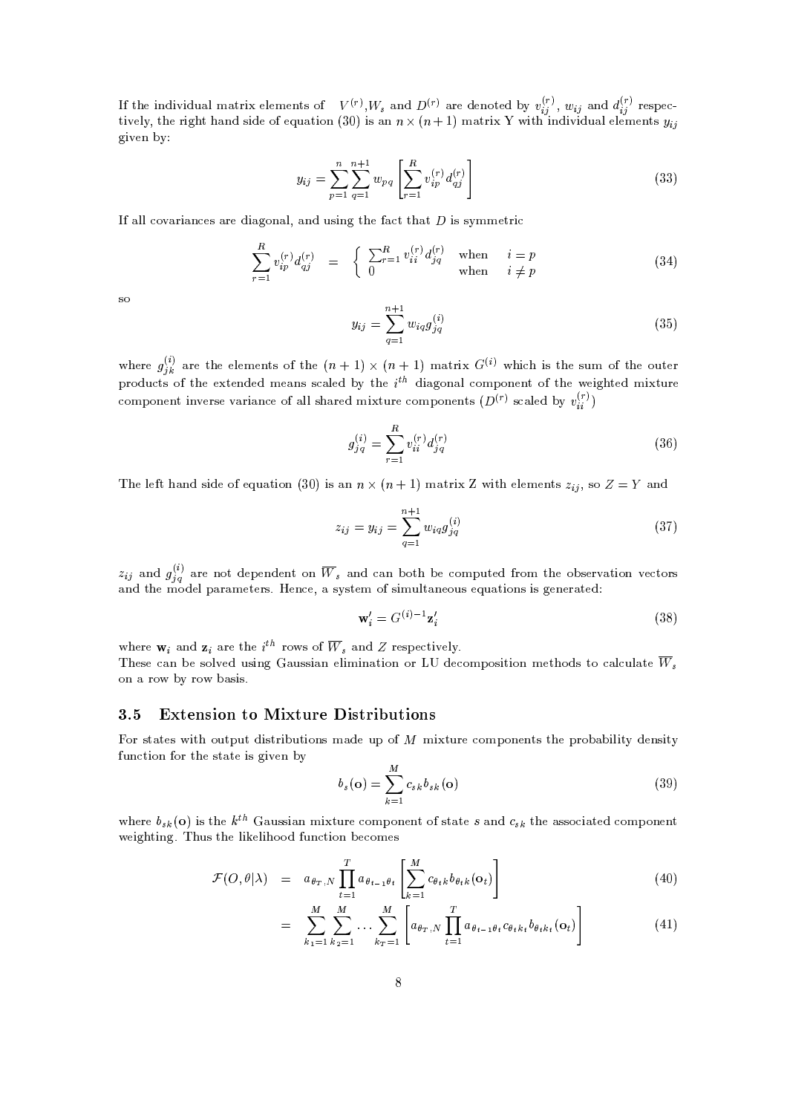$F(x)$  W, and  $D(x)$  are denoted by  $v(x)$  we and  $d(x)$  respe  $\blacksquare$ أكالا الألبانية الألبانية والمتواصل المتواصل المتواصل المتواصل المتواصل المتواصل المتواصل المتواصل المتواصل المتواص 2JKL0,/<KN02-', 4JK.)S2 +=@?-;CMJK;-,8\$, A+=@23JT81? ! ,JKMl=@? B'G^=@243J >JK2-CJT?';-JKLSJK;-<sup>A</sup> =@< ,/<K,/G,/?S23M given by:  $U^{[r]}$  III and  $D^{[r]}$  are depeted by  $v^{[r]}$  and  $d^{[r]}$  peerse  $\sim$  17 im  $\sim$  11 months are  $N$  with an dividing lalama anto  $\sim$ 

$$
y_{ij} = \sum_{p=1}^{n} \sum_{q=1}^{n+1} w_{pq} \left[ \sum_{r=1}^{R} v_{ip}^{(r)} d_{qj}^{(r)} \right]
$$
(33)

If all experiences are disgraped, and using the fact that  $D$  is sympositic.

$$
\sum_{r=1}^{R} v_{ip}^{(r)} d_{qj}^{(r)} = \begin{cases} \sum_{r=1}^{R} v_{ii}^{(r)} d_{jq}^{(r)} & \text{when} \quad i = p \\ 0 & \text{when} \quad i \neq p \end{cases}
$$
 (34)

S<sub>O</sub>

 $\cdots$ 

$$
y_{ij} = \sum_{q=1}^{n+1} w_{iq} g_{jq}^{(i)}
$$
 (35)

 $\mathcal{L}(\mathcal{N})$  . The contract of the contract of the contract of the contract of the contract of the contract of the contract of the contract of the contract of the contract of the contract of the contract of the contract えいこうしゃ アイ・プログラム しゅうしょう  $\binom{[i]}{k}$  are the elements of the  $(n+1) \times (n+1)$  matrix  $G^{(i)}$  wh component inverse variance of all shared mixture components  $(D<sup>(r)</sup>$  scaled by  $v<sup>(r)</sup>$ ) -,/43, =@4,I2-,I,/<K,/GC,/?2M 82--, B' %B'GP=24J -JJKM 2--,IM3A-<sup>G</sup> 82-', 81A-2,Q4 R-438;-A'/23M 82--,I,2,Q?-;-,/;GC,E=?-M M-Y=@<K,/;HSN 2-, ;-J>=.080? =@< /81GCR 81?-,/?S2 82-,,/JK.2,/;GCJ2A'4,  $\alpha^{(k)}$  and the elements of the  $(m+1)$   $\vee$   $(m+1)$  metric  $\alpha^{(k)}$  mbigh is the  $\cdots$ . . . . . . . .

$$
g_{j\,q}^{(i)} = \sum_{r=1}^{R} v_{ii}^{(r)} d_{jq}^{(r)}
$$
\n(36)

The left hand side of equation (30) is an  $n \times (n+1)$  matrix 7 with elements  $\gamma$ , so  $Z = V$  and

$$
z_{ij} = y_{ij} = \sum_{q=1}^{n+1} w_{iq} g_{jq}^{(i)}
$$
\n(37)

 $\ldots$  and  $a^{(i)}$  are and  $a^{(i)}$  are not dependent on W, and can both be computed from the observation vectors =@?';P2-',
GC8:;-,/< R+=4 =@G,/2,Q4ME),Q?'/, += MNM23,/G 8M3JKGA-<K2 =@?-,/81A-M, A+=@23JT81?-MJTM.0,Q?-,/4 =2,/; 

$$
\mathbf{w}'_i = G^{(i)-1} \mathbf{z}'_i \tag{38}
$$

where  $\mathbf{w}_i$  and  $\mathbf{z}_i$  are the  $i^{th}$  rows of  $\overline{W}_i$  and Z respectively  $\blacksquare$ 

These can be solved using Gaussian elimination or LU decomposition methods to calculate  $W$ . on a row by row basis.

### 3.5 Extension to Mixture Distributions

:814
M2 =2,/MJK2- 80A'2R-A-2
;-JKM324JKH-A'2JK80?-M
G^=@;-, A-<sup>R</sup> 8 GJS23A-4, /81GCR 80?',/?S23M2-, R-481H+=@H-JK<KJK2ON;-,/?-M3JT2N & A-RICHARD A-BAD A-BAD A-BAD A-BAD A-BAD A-BAD A-BAD A-BAD A-BAD A-BAD A-BAD A-BAD A-BAD A-BAD A-BAD A-BAD A-BAD A-BAD A-BAD A-BAD A-BAD A-BAD A-BAD A-BAD A-BAD A-BAD A-BAD A-BAD A-BAD A-BAD A-BAD A-BAD A-BAD A-BAD A-BAD A-

$$
b_s(\mathbf{o}) = \sum_{k=1}^{M} c_{sk} b_{sk}(\mathbf{o})
$$
\n(39)

where  $b_{\ell}(\mathbf{o})$  is the  $k^{th}$  Gaussian mixture component of state s and  $c_{\ell}$  the associated component ,/JK.)S2JK?-. ) SA'Ml2-,
<KJ0,/<KJ-88;#A-?'/23JK80?PH , /80G,/M

$$
\mathcal{F}(O,\theta|\lambda) = a_{\theta_T,N} \prod_{t=1}^T a_{\theta_{t-1}\theta_t} \left[ \sum_{k=1}^M c_{\theta_t k} b_{\theta_t k}(\mathbf{o}_t) \right]
$$
(40)

$$
= \sum_{k_1=1}^{M} \sum_{k_2=1}^{M} \ldots \sum_{k_T=1}^{M} \left[ a_{\theta_T, N} \prod_{t=1}^{T} a_{\theta_{t-1}\theta_t} c_{\theta_t k_t} b_{\theta_t k_t}(\mathbf{o}_t) \right]
$$
(41)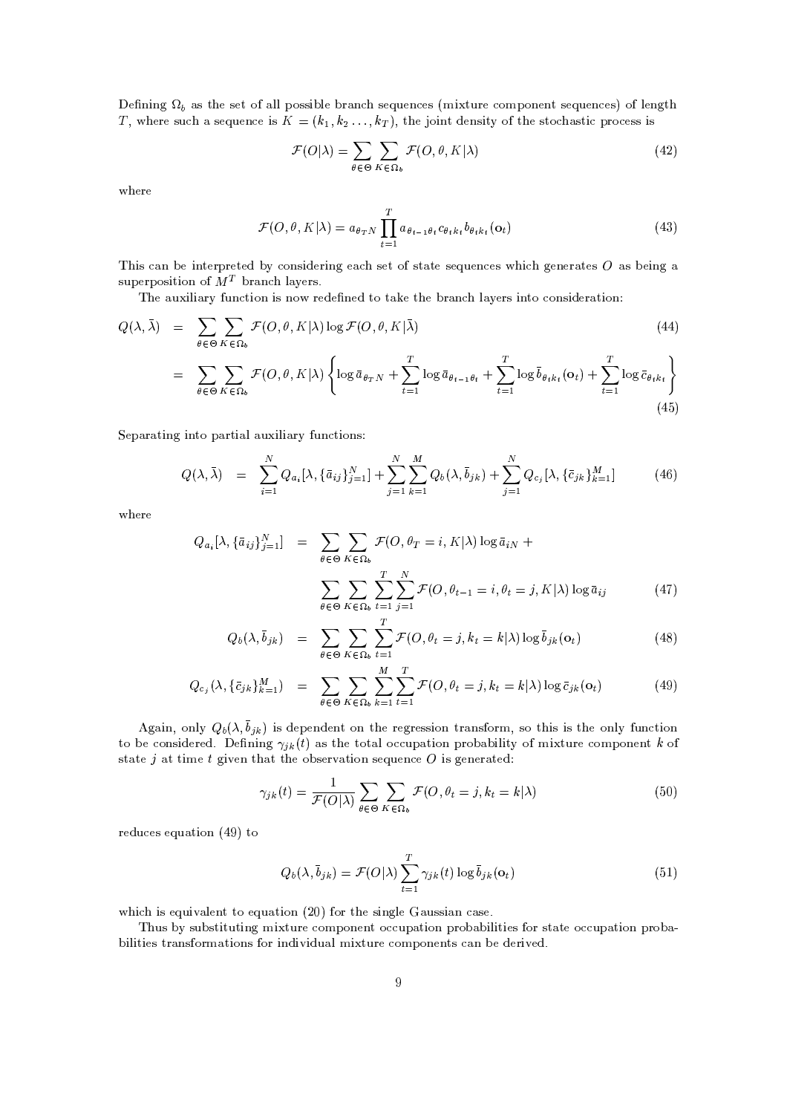T, where such a sequence is  $K = (k_1, k_2, \ldots, k_T)$ , the joint density of the stochastic process is  $\Omega$   $\Omega$ , as the set of all possible branch sequences (mixture component sequences) of length

$$
\mathcal{F}(O|\lambda) = \sum_{\theta \in \Theta} \sum_{K \in \Omega_b} \mathcal{F}(O, \theta, K|\lambda)
$$
\n(42)

-,/43,

$$
\theta \in \Theta \ K \in \Omega_b
$$
  

$$
\mathcal{F}(O, \theta, K | \lambda) = a_{\theta_T N} \prod_{t=1}^T a_{\theta_{t-1}\theta_t} c_{\theta_t k_t} b_{\theta_t k_t}(\mathbf{o}_t)
$$
(43)

 $\cdots$  and  $\cdots$   $\cdots$ -JKM E=@?fH+,iJK?S2,Q4R-43,/2,/;fHSNK/81?-MJK;-,Q4JK?-. ,E=M,Q28WM2 =@2,iM3,?A-,Q?'E,QM 'J.1,Q?-,Q4 =2,QM =@MH ,QJT?'.P=

',U=@A-SJK<KJ>=@43NA-?'/23JK80?PJKM?-8 4,Q;-, ?-,Q;P28I2 =0,
2-,
H-<sup>4</sup> =@?'P<>=YN0,/4MJK?S238/81?-MJK;-,Q4 =@23JK80?>

$$
Q(\lambda, \bar{\lambda}) = \sum_{\theta \in \Theta} \sum_{K \in \Omega_b} \mathcal{F}(O, \theta, K | \lambda) \log \mathcal{F}(O, \theta, K | \bar{\lambda})
$$
(44)  

$$
= \sum_{\theta \in \Theta} \sum_{K \in \Omega_b} \mathcal{F}(O, \theta, K | \lambda) \left\{ \log \bar{a}_{\theta_{T}N} + \sum_{t=1}^{T} \log \bar{a}_{\theta_{t-1}\theta_t} + \sum_{t=1}^{T} \log \bar{b}_{\theta_{t}k_t}(o_t) + \sum_{t=1}^{T} \log \bar{c}_{\theta_{t}k_t} \right\}
$$

,/R =@4 =2JK?-.IJK?S28IR+=42J>=<6=@A'JK<KJ =4NA'?'/2JK81?-<sup>M</sup>

$$
Q(\lambda, \bar{\lambda}) = \sum_{i=1}^{N} Q_{a_i}[\lambda, \{\bar{a}_{ij}\}_{j=1}^{N}] + \sum_{j=1}^{N} \sum_{k=1}^{M} Q_b(\lambda, \bar{b}_{jk}) + \sum_{j=1}^{N} Q_{c_j}[\lambda, \{\bar{c}_{jk}\}_{k=1}^{M}] \qquad (46)
$$

-,/43,

$$
Q_{a_i}[\lambda, \{\bar{a}_{ij}\}_{j=1}^N] = \sum_{\theta \in \Theta} \sum_{K \in \Omega_b} \mathcal{F}(O, \theta_T = i, K | \lambda) \log \bar{a}_{iN} +
$$

$$
\sum_{\theta \in \Theta} \sum_{K \in \Omega_b} \sum_{t=1}^T \sum_{j=1}^N \mathcal{F}(O, \theta_{t-1} = i, \theta_t = j, K | \lambda) \log \bar{a}_{ij}
$$
(47)

$$
Q_b(\lambda, \bar{b}_{jk}) = \sum_{\theta \in \Theta} \sum_{K \in \Omega_b} \sum_{t=1}^T \mathcal{F}(O, \theta_t = j, k_t = k | \lambda) \log \bar{b}_{jk}(\mathbf{o}_t)
$$
(48)

$$
Q_{c_j}(\lambda, \{\bar{c}_{jk}\}_{k=1}^M) = \sum_{\theta \in \Theta} \sum_{K \in \Omega_b} \sum_{k=1}^M \sum_{t=1}^T \mathcal{F}(O, \theta_t = j, k_t = k | \lambda) \log \bar{c}_{jk}(\mathbf{o}_t)
$$
(49)

 $\Lambda$  gain, only  $O_1(\overline{\Lambda}_1)$  is dependent on the regression transform, so this is the only function to be considered. Defining  $\alpha_{\nu}(t)$  as the total occupation probability of mixture component  $k$  of . A second the contract of the contract of the contract of the contract of the contract of the contract of the contract of the contract of the contract of the contract of the contract of the contract of the contract of the

$$
\gamma_{jk}(t) = \frac{1}{\mathcal{F}(O|\lambda)} \sum_{\theta \in \Theta} \sum_{K \in \Omega_b} \mathcal{F}(O, \theta_t = j, k_t = k|\lambda)
$$
\n(50)

 $\mathcal{A} \rightarrow \mathcal{A}$ 

$$
Q_b(\lambda, \bar{b}_{jk}) = \mathcal{F}(O|\lambda) \sum_{t=1}^T \gamma_{jk}(t) \log \bar{b}_{jk}(\mathbf{o}_t)
$$
\n(51)

-J^JKMl, A-JKL0=@<K,/?S228I, A+=2JK80? <sup>X</sup> , %O8042--,MJK?-.0<K, =@A-M3MJ>=@?KE=@M3,0)

 A-MlHSN MA'H-M23JT23A-2JK?-. GCJ2A-43, /81GCR 81?-,/?S2l8QA-R+=@23JK80? R-4380H+=H-JK<KJT23JK,/M&O804lM2 =2,8 /A-R+=2JK80?PR-481H+= H-JK<KJK2JK,/M24 =?-M
O804G^=@23JT81?-<sup>M</sup> 804JK?-;-JKLJT;'A+=@< GIJ2A-43,/81GR 80?-,Q?S2M E=?PH ,
;',/4JKL0,/;)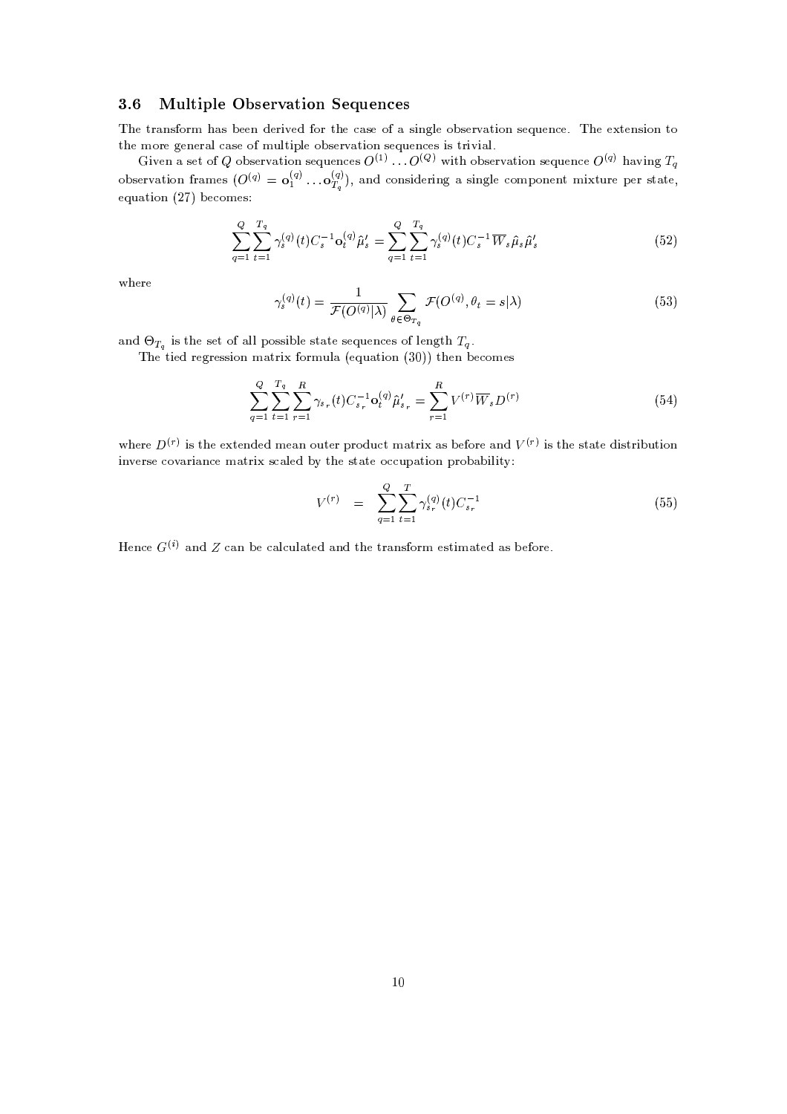#### `2-E\*IJ ;=?5:IJ H9R H>NB8
;V?5@BA `H \*IH
A H
R

 -, <sup>234</sup> =?-M
814GQ+=@MH ,/,/? ;-,Q4JKL0,/; O804
2-, E=M, 8=CM3JK?-.0<K, 81H-M,Q4L=2JK80? M3, A-,/?'Q,0)P ', ,2,/?'MJK80?928  $\mathcal{A}$  , and  $\mathcal{A}$  , and  $\mathcal{A}$  , and  $\mathcal{A}$  , and  $\mathcal{A}$  , and  $\mathcal{A}$ 

  $(1)$   $Q^{(Q)}$  with observation sequence  $Q^{(q)}$  having  $T_c$ and the state of the New York and . . . . observation frames  $(O^{(q)} = Q_1^{(q)} \dots Q_n^{(q)})$ , and considering a single component mixture per state. Given a set of O observation sequences  $O^{(1)} = O^{(Q)}$  with observation sequence  $O^{(q)}$  having T. equation  $(27)$  becomes:

$$
\sum_{q=1}^{Q} \sum_{t=1}^{T_q} \gamma_s^{(q)}(t) C_s^{-1} \mathbf{o}_t^{(q)} \hat{\boldsymbol{\mu}}_s' = \sum_{q=1}^{Q} \sum_{t=1}^{T_q} \gamma_s^{(q)}(t) C_s^{-1} \overline{W}_s \hat{\boldsymbol{\mu}}_s \hat{\boldsymbol{\mu}}_s'
$$
(52)

-,/43,

$$
\gamma_s^{(q)}(t) = \frac{1}{\mathcal{F}(O^{(q)}|\lambda)} \sum_{\theta \in \Theta_{T_q}} \mathcal{F}(O^{(q)}, \theta_t = s|\lambda)
$$
\n(53)

and  $\Theta_T$  is the set of all possible state sequences of length  $T_a$ .  $\overline{a}$  and  $\overline{a}$  and  $\overline{a}$  and  $\overline{a}$  and  $\overline{a}$  and  $\overline{a}$  and  $\overline{a}$  and  $\overline{a}$  and  $\overline{a}$  and  $\overline{a}$  and  $\overline{a}$  and  $\overline{a}$  and  $\overline{a}$  and  $\overline{a}$  and  $\overline{a}$  and  $\overline{a}$  and  $\overline{a}$  and

',
2JK,/;^4,/.14,/M3MJK80?^GP=24J814GIA-<>= >, A+=2JK80? ( , W2--,Q?PH ,/81GC,/M

$$
\sum_{q=1}^{Q} \sum_{t=1}^{T_q} \sum_{r=1}^{R} \gamma_{s_r}(t) C_{s_r}^{-1} \mathbf{o}_t^{(q)} \hat{\boldsymbol{\mu}}'_{s_r} = \sum_{r=1}^{R} V^{(r)} \overline{W}_s D^{(r)}
$$
(54)

where  $D^{(r)}$  is the extended mean extense product metrix as before and  $U^{(r)}$  is the state distribution JK?SL0,/43M,\*/8@L=@43J =?'/,GP=@234JCM-Y=@<K,/;PHNC2--,M2 =@2,8/A'R+=@23JT81?PR-4380H+=H-JK<KJT2N

$$
V^{(r)} = \sum_{q=1}^{Q} \sum_{t=1}^{T} \gamma_{s_r}^{(q)}(t) C_{s_r}^{-1}
$$
\n(55)

Hence  $C^{(i)}$  and Z can be colorlated and the transform estimated as before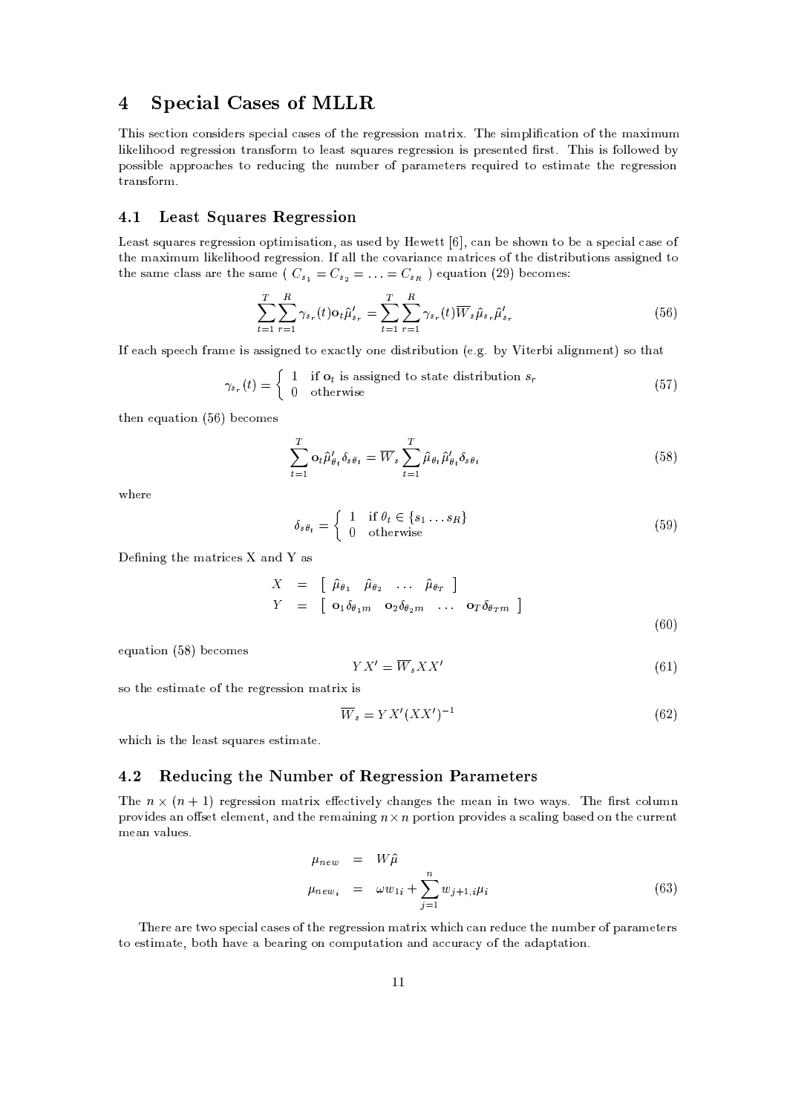# 4 Special Cases of MLLR

 -JKM M3,/2JK81?KQ80?-M3JT;',/4M M3R ,/J>=@< E=@M3,/M 8 2-,U4,/.14,/M3M JT81? GP=@234J#) -,UMJKGCR-<KJ E=2JK80? 8 2--,UG^=JKGA-<sup>G</sup> <KJ0,/<KJ'88;94,/.14,/M3MJK80?924 =@?-M8043G 28^<K,E=M2MA+=4,/M43,/.043,/MM3JK80?9JTMR'4,/M3,/?S23,/; 4M32E) 'JTMJKM 81<K<T8,/;9HN <sup>R</sup> 80M3MJKH-<K, =R-R-48=-,/M <sup>238</sup> 43,/;-A'/JK?-.2--,^?SA-GIH ,/4I8 R+=4 =GC,/23,/4MI4, A-JK4,Q; 28,/M23JTG^=@23,P2--,^4,/.14,/M3MJK80? 24 =@?-M8043G)

### $\overline{18}$  and  $\overline{18}$  and  $\overline{18}$  and  $\overline{18}$  and  $\overline{18}$  and  $\overline{18}$  and  $\overline{18}$  and  $\overline{18}$  and  $\overline{18}$  and  $\overline{18}$  and  $\overline{18}$  and  $\overline{18}$  and  $\overline{18}$  and  $\overline{18}$  and  $\overline{18}$  and  $\overline{18}$  a

the same class are the same ( $C_{\epsilon_1} = C_{\epsilon_2} = \ldots = C_{\epsilon_n}$ ) equation (29) becomes: !#,Y=@M2WMSA =@4,QMW4,/.14,/M3MJK80? 80R-23JKGCJKM =2JK80? '=@MWA-M3,/;CHNI,,/232--E=@? <sup>H</sup> ,M--8?C238 <sup>H</sup> ,
=iM3R ,/J>=@< Y=@M,8 2-',
GP=JTGIA-<sup>G</sup> <TJ0,/<KJ-88;P43,/.043,/MM3JT81? )' =<T<2-,/8@L=4J>=@?-/,
GP=243JQ,/Ml82-',
;-JKM234JKH-A-23JK80?-M=@M3MJK.0?-,Q;P28

$$
\sum_{t=1}^{T} \sum_{r=1}^{R} \gamma_{s_r}(t) \mathbf{o}_t \hat{\mu}'_{s_r} = \sum_{t=1}^{T} \sum_{r=1}^{R} \gamma_{s_r}(t) \overline{W}_s \hat{\mu}_{s_r} \hat{\mu}'_{s_r}
$$
(56)

,Y=^MR ,/, O4 =@G,
JKM=@MM3JK.0?-,/;^28I,-=/23<KNC80?-,;-JKM234JKH-A-23JT81? ,0) .+)HN/-JK2,/43H-J6=@<KJK.0?'GC,/?2 WM8I2-+=2

$$
\gamma_{s_r}(t) = \begin{cases} 1 & \text{if } \mathbf{o}_t \text{ is assigned to state distribution } s_r \\ 0 & \text{otherwise} \end{cases} \tag{57}
$$

 $\sim$  2-Max , and 2-Max , and 2-Max , and 2-Max , and 2-Max , and 2-Max , and 2-Max , and 2-Max , and 2-Max , and 2-Max , and 2-Max , and 2-Max , and 2-Max , and 2-Max , and 2-Max , and 2-Max , and 2-Max , and 2-Max , and

$$
\sum_{t=1}^{T} \mathbf{o}_t \hat{\mu}'_{\theta_t} \delta_{s\theta_t} = \overline{W}_s \sum_{t=1}^{T} \hat{\mu}_{\theta_t} \hat{\mu}'_{\theta_t} \delta_{s\theta_t}
$$
\n(58)

-,/43,

$$
\delta_{s\theta_t} = \begin{cases} 1 & \text{if } \theta_t \in \{s_1 \dots s_R\} \\ 0 & \text{otherwise} \end{cases}
$$
 (59)

, ?-JK?-.I2-',
GP=243JQ,/M-=@?'; =@M

$$
X = \begin{bmatrix} \hat{\mu}_{\theta_1} & \hat{\mu}_{\theta_2} & \dots & \hat{\mu}_{\theta_T} \end{bmatrix}
$$
  
\n
$$
Y = \begin{bmatrix} \mathbf{o}_1 \delta_{\theta_1 m} & \mathbf{o}_2 \delta_{\theta_2 m} & \dots & \mathbf{o}_T \delta_{\theta_T m} \end{bmatrix}
$$
 (60)

equation (58) becomes

$$
Y X' = \overline{W}_s X X' \tag{61}
$$

M8I2-',
,/M32JKGP=2,
82-,
43,/.043,/MM3JT81?PG^=@243JCJTM

$$
\overline{W}_s = YX'(XX')^{-1} \tag{62}
$$

-J^JKMl2-,
<K,E=M2MA+=@43,/M,/M23JTG^=@23,0)

### `2S1 \$H
7 \* ?5A ;IH \*9O H
N @>D \$H3N=H>R <sup>R</sup> ? @ ACKM8%N=8%OPHQ;VHQN=R

The p  $\vee$  (p  $\pm$  1) repression protrix effectively changes the presenting two wever. The first column  $\frac{1}{2}$  , also an effect clament, and the news sining  $\alpha \vee \alpha$  perties prevides a secling because the support GC,Y=@?CL=@<KA-,QME)

$$
\mu_{new} = W\hat{\mu}
$$
\n
$$
\mu_{new_i} = \omega w_{1i} + \sum_{j=1}^n w_{j+1,i} \mu_i
$$
\n(63)

 ',/4,l=@4, 2
W8M3R ,/J>=@< E=M,/M68#2--, 4,/.14,/M3MJK80? GP=@234J -J E=@? 4,/;'A'/,&2-, ?A-GIH ,/48 R+=4 =@G,/2,Q4M  $\mathcal{L} = \mathcal{L} = \mathcal{L} = \mathcal{L} = \mathcal{L} = \mathcal{L} = \mathcal{L} = \mathcal{L} = \mathcal{L} = \mathcal{L} = \mathcal{L} = \mathcal{L} = \mathcal{L} = \mathcal{L} = \mathcal{L} = \mathcal{L} = \mathcal{L} = \mathcal{L} = \mathcal{L} = \mathcal{L} = \mathcal{L} = \mathcal{L} = \mathcal{L} = \mathcal{L} = \mathcal{L} = \mathcal{L} = \mathcal{L} = \mathcal{L} = \mathcal{L} = \mathcal{L} = \mathcal{L} = \mathcal$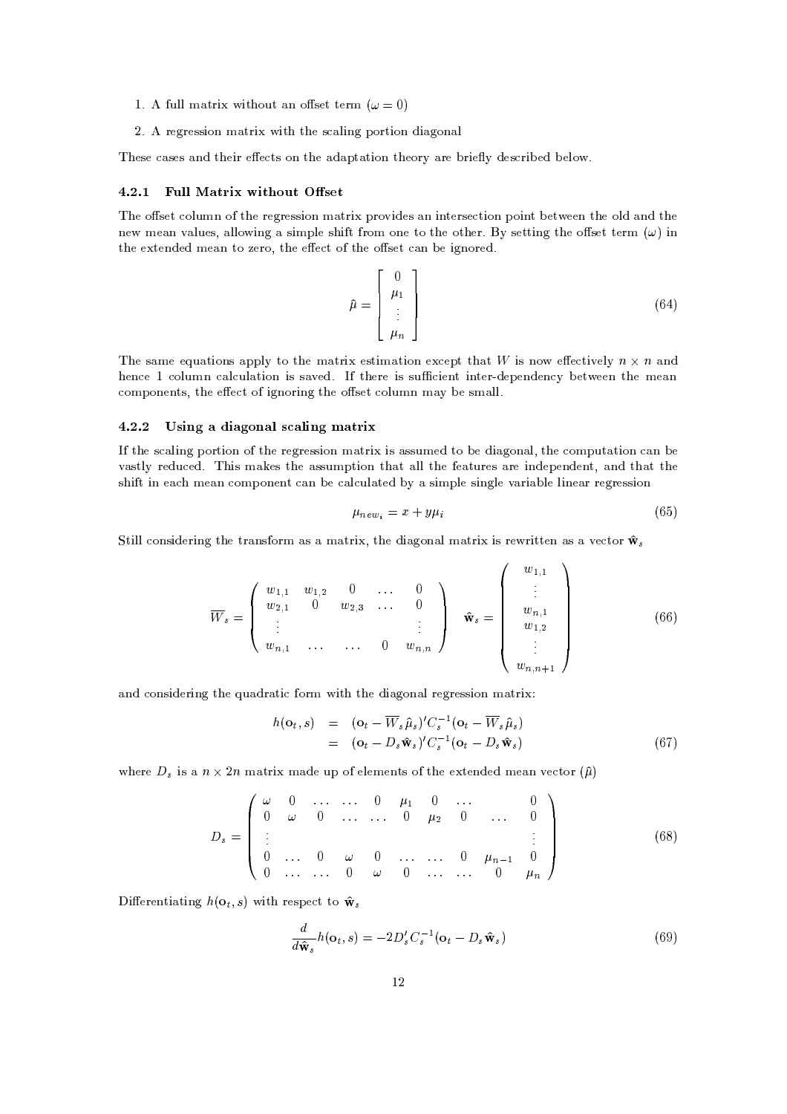- $\mathbf{A}$  full matrix without an effect terms  $(u = 0)$
- X-)W%4,/.14,/M3MJK80?^GP=@234J#JK2-^2--,M-E=<KJT?'. <sup>R</sup> 80432JK80?^;-J>=@.180?+=<

-,/M3,E=M,/M=@?';P2-',/JK4l,-,/23M80?P2-,i=@;+=R-<sup>2</sup> =2JK80?^2--,/814NP=4,
H'43JK, NC;-,EMQ43JKH ,/;^H ,Q<K8 )

#### 4.2.1 Full Matrix without Offset

 -,86-M,Q2 /80<KA-G? 8\$2--,43,/.043,/MM3JT81?CGP=@234J R'48@LSJK;-,QMl=@?CJK?S23,/4M3,/2JK81? <sup>R</sup> 81JK?S2H ,/2,/,/?C2-,80<K;P=@?-;C2-,  $\alpha$  m  $\alpha$  and  $\alpha$  algebra  $\alpha$  algebra  $\alpha$  and  $\alpha$  is the  $\alpha$  the  $\alpha$   $\alpha$   $\beta$  and  $\alpha$   $\beta$   $\alpha$   $\beta$   $\alpha$   $\beta$   $\alpha$   $\beta$   $\alpha$   $\beta$   $\alpha$   $\beta$   $\alpha$   $\beta$   $\alpha$   $\beta$   $\alpha$   $\beta$   $\alpha$   $\beta$   $\alpha$   $\beta$   $\alpha$   $\beta$   $\alpha$   $\beta$  2-',
,2,Q?-;-,/;^GC,E=?P28 /,/438 -2-,
,-,/28&2--,86-M,/2 Y=@?^H ,JK.0?-814,/; )

$$
\hat{\mu} = \begin{bmatrix} 0 \\ \mu_1 \\ \vdots \\ \mu_n \end{bmatrix}
$$
\n(ix estimation except that *W* is now effectively  $n \times n$  and  
\nIf there is sufficient inter-dependenty between the mean  
\nffset column may be small.  
\n
$$
matrix
$$
\nmatrix is assumed to be diagonal, the computation can be  
\nption that all the features are independent, and that the  
\nalculated by a simple single variable linear regression  
\n
$$
\mu_{\text{num}} = r + \mu u.
$$
\n(65)

The course receives condition to the contact collection correct that  $M/$  is compatible and conditioned as  $\alpha$  as and -,/?-/, B"/80<KA-G?4E=</A-<>=@23JT81? JTM <sup>M</sup> =EL0,Q; ) 2--,/43,PJTM M3A /JK,/?2 JK?2,/4;',/R ,/?-;-,/?-/N <sup>H</sup> ,/2,/,E? 2',PG,E=@? /81GCR 80?',/?S23M-2-',
,-,/28&JT.1?-8043JK?-. 2-,
8#M3,/2 /80<KA-G?PGP=YNCH ,
M3GP=<T<)

## 4.2.2 Using a diagonal scaling matrix

2--,
M-Y=@<KJK?-. <sup>R</sup> 80423JK80?P82--,
43,/.043,/MM3JT81? G^=@234J JKM =@M3MA-G,/; <sup>238</sup> <sup>H</sup> ,;'J =.081?+=@<Y2-,/80GR-A-<sup>2</sup> =2JK80?"E=? <sup>H</sup> , L=M2<KNf43,/;-A'Q,/; ) -JKMG^=0,QM2-,I=MM3A-GCR-23JK80? 2-+=2 =<T< 2--, ,E=2A-43,/Mi=@4, JK?-;-,/R ,/?';-,/?S2\$=@?-; 2- =@2U2--, M-'JO2lJK?P,Y=^GC,E=?"/81GCR 81?-,/?S2 E=?PH ,Y=@</A-<>=@23,/;PHNP= MJKGCR-<K,MJK?-.0<K,L=@43J =H-<K,
<KJK?-,E=4l43,/.043,/MM3JT81?

$$
\mu_{new_i} = x + y\mu_i \tag{65}
$$

 $\sim$   $\sim$   $\sim$ 

Still considering the transform as a matrix the diagonal matrix is rewritten as a vector  $\hat{\mathbf{w}}$ .

$$
\overline{W}_s = \begin{pmatrix} w_{1,1} & w_{1,2} & 0 & \dots & 0 \\ w_{2,1} & 0 & w_{2,3} & \dots & 0 \\ \vdots & & & & \vdots \\ w_{n,1} & \dots & \dots & 0 & w_{n,n} \end{pmatrix} \quad \hat{\mathbf{w}}_s = \begin{pmatrix} w_{1,1} \\ \vdots \\ w_{n,1} \\ w_{1,2} \\ \vdots \\ w_{n,n+1} \end{pmatrix}
$$
(66)

=@?';"/81?-MJK;-,/43JK?-. 2-, A+=;-<sup>4</sup> =2JO804G JK2-^2--,;-J>=@.081?+=@< 43,/.043,/MM3JK80?PG^=@234J

$$
h(\mathbf{o}_t, s) = (\mathbf{o}_t - \overline{W}_s \hat{\mu}_s)' C_s^{-1} (\mathbf{o}_t - \overline{W}_s \hat{\mu}_s)
$$
  
= (\mathbf{o}\_t - D\_s \hat{\mathbf{w}}\_s)' C\_s^{-1} (\mathbf{o}\_t - D\_s \hat{\mathbf{w}}\_s) (67)

where D, is a  $n \times 2n$  matrix made up of elements of the extended mean vector  $(\hat{\mu})$ 

$$
D_s = \left(\begin{array}{ccccccccc}\n\omega & 0 & \dots & \dots & 0 & \mu_1 & 0 & \dots & & 0 \\
0 & \omega & 0 & \dots & \dots & 0 & \mu_2 & 0 & \dots & 0 \\
\vdots & & & & & & & & & \\
0 & \dots & 0 & \omega & 0 & \dots & \dots & 0 & \mu_{n-1} & 0 \\
0 & \dots & \dots & 0 & \omega & 0 & \dots & \dots & 0 & \mu_n\n\end{array}\right) \tag{68}
$$

Differentiating  $h(\mathbf{o}_t, s)$  with respect to  $\hat{\mathbf{w}}$ ,

$$
\frac{d}{d\hat{\mathbf{w}}_s}h(\mathbf{o}_t, s) = -2D_s'C_s^{-1}(\mathbf{o}_t - D_s\hat{\mathbf{w}}_s)
$$
(69)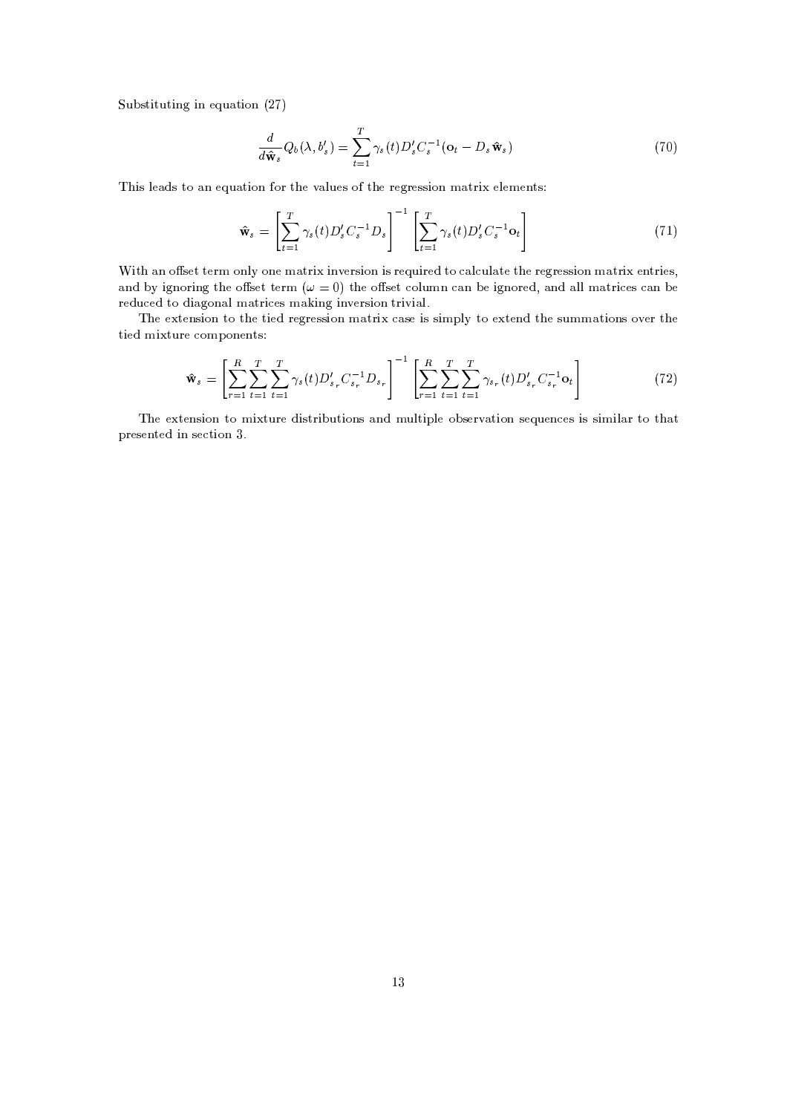A-H'M2JK23A-2JK?-.IJK?P, A+=2JK80? <sup>X</sup>

$$
\frac{d}{d\hat{\mathbf{w}}_s}Q_b(\lambda, b'_s) = \sum_{t=1}^T \gamma_s(t)D'_s C_s^{-1}(\mathbf{o}_t - D_s \hat{\mathbf{w}}_s)
$$
\n(70)

-JKM<T,Y=@;-M28C=@?^, A+=@23JT81? 814l2-,
L0=@<KA-,/M8&2--,4,/.14,/M3MJK80?^GP=24JC,/<K,/G,/?S23M

$$
\hat{\mathbf{w}}_s = \left[\sum_{t=1}^T \gamma_s(t) D_s' C_s^{-1} D_s\right]^{-1} \left[\sum_{t=1}^T \gamma_s(t) D_s' C_s^{-1} \mathbf{0}_t\right]
$$
\n(71)

7JK2-I=@? 86-M,Q262,Q4G"81?-<KNU81?-, GP=243J JK?SL0,Q4MJK81? JTM\$4, A-JK43,/; 28\*E=@</A-<>=2, 2-, 4,/.14,/M3MJK80? GP=@234J ,/?S234JK,/M =@?'; HSN JK.0?-814JK?-. 2-,86-M,/2l2,/43G , &2--,8#M3,/2 Q80<KA-GC? Y=@? <sup>H</sup> ,JK.0?'804,Q; '=@?';^=@<K<#G^=@234J/,/M E=@? <sup>H</sup> , 4,Q;-A'/,/;^28I;-J>=@.180?+=< GP=@234J/,/MGP=JT?'. JK?SL1,/4M3JT81? 243JTLJ>=@<)

 ',
,S23,/?-M3JT81?P238I2--,2JK,/;^4,Q.04,QMMJK81?PG^=@234J#E=M,JKMlM3JKGCR-<KNC238I,2,/?-;^2-',
M3A-GCG^=@23JT81?-M8L1,/4l2--, 2JK,/;^GCJ2A-43,/81GCR 81?-,/?S23M

$$
\hat{\mathbf{w}}_s = \left[ \sum_{r=1}^R \sum_{t=1}^T \sum_{t=1}^T \gamma_s(t) D'_{s_r} C_{s_r}^{-1} D_{s_r} \right]^{-1} \left[ \sum_{r=1}^R \sum_{t=1}^T \sum_{t=1}^T \gamma_{s_r}(t) D'_{s_r} C_{s_r}^{-1} \mathbf{0}_t \right]
$$
(72)

 ', ,2,Q?-MJK80?928^GCJ2A-43, ;-JKM324JKH-A'2JK80?-M =@?-;9GA'<T23JKR-<K, 80H'M,/43L=@23JK80? M3, A-,/?'/,QM
JKMMJKGCJK<>=@428^2-+=2 R-43,/M,/?2,/;^JK?PM, /2JK80?\*-)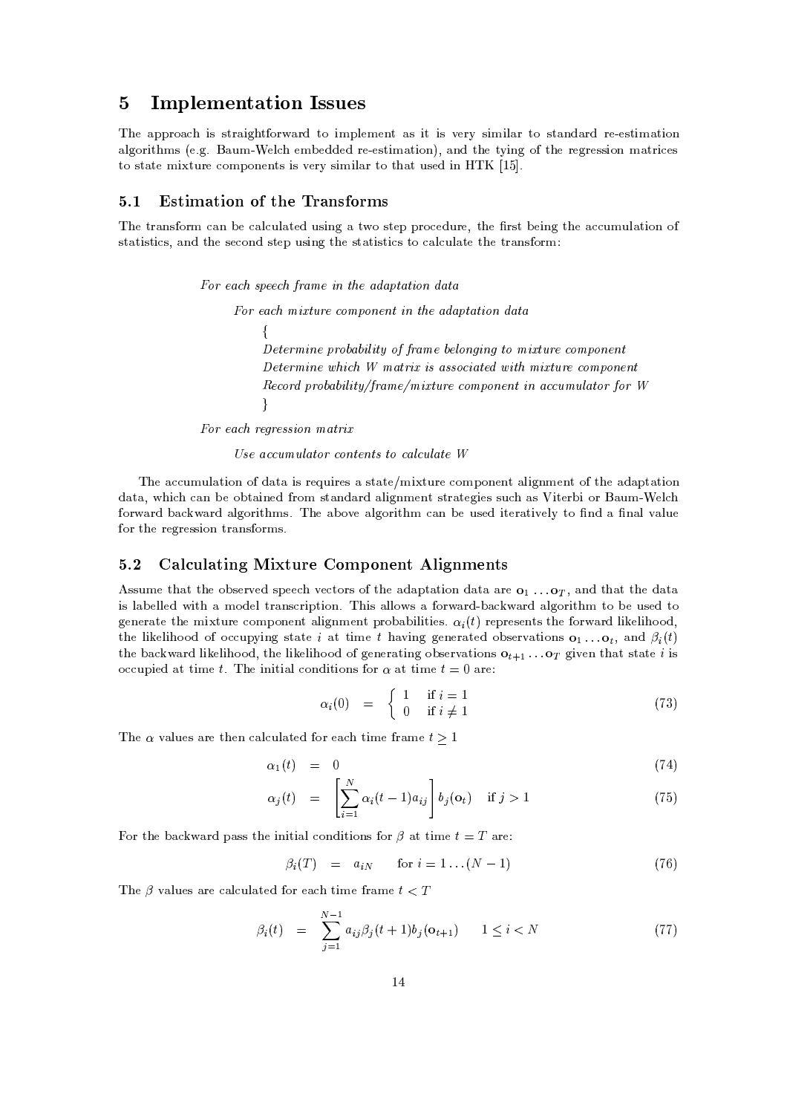# 5 Implementation Issues

 -,9=R-R-438S= JKM M324 =@JK.2
814-l=4; <sup>238</sup> JKGCR-<K,/G,/?S2 =@MPJK2 JKM L0,/43N MJKGCJK<>=@4P28 M32 =?-;+=@43; 43,,QM2JKG^=@2JK80? =@<K.1804JK2-GCM>,1) . ) Vl=A-G7,/<f,/GIH ,/;-;-,Q;43,,QM2JKG^=@2JK81?-=?-;f2--,i2NSJK?-. 8W2-,i4,/.14,/M3MJK80?fGP=24J/,QM 28IM2 =@23,
GCJ2A'4,Q80GCR 81?-,/?2MJTML0,/43NCMJKGCJK<>=@428I2- =@2A-M,/;^JK?P KB
-)

## 5.1 Estimation of the Transforms

 -, 24 =@?-M8043G E=@?H ,NE=<QA-<>=@2,Q; A'MJK?-.P=I28CM23,/RR-48Q,/;-A-43, 2-', 4M2H ,QJT?'.C2--, = /A-GIA-<>=@2JK81? 8 M2 =@23JTM32J/M\$ =@?-;^2--,M,/81?-;PM32,/R^A-MJK?-.I2-',
M2 =@23JTM32J/M28E=@</A'< =2,2--,24 =?-M8043G

 $E_{\alpha\beta}$  and encode from  $\alpha$  in the adoptotion data

 $\{$ J For each mixture component in the adaptation data Determine probability of frame belonging to mixture component Determine which W matrix is associated with mixture component  $\overline{D}$  accord probability (frame (minty no comparisont in geometrical stape for  $W$ 

For each regression matrix

 $H_{\alpha\alpha}$  accumulate sentents to establists  $M$ 

 ',U=/A-GIA-<>=@23JK80?^8&;+=2 <sup>=</sup> JKM4, A-JK43,/M= M2 =@2,'@GCJ2A'4,\*/80GR 80?-,/?2=@<KJK.0?-G,/?S28&2--, =@; =@R-<sup>2</sup> =@2JK80? ;+=2 =' 'JE=?H ,i80H-<sup>2</sup> =@JK?-,/;K481G M32 =?-;+=@43; =<TJK.1?-GC,/?2M324 =@2,Q.0JK,/MMA' =M -JT23,/4H'J\$804Vl=A-G7,/< 814-l=4; H+=l=4; =<T.18043JT2-GCMY) -, =@H 8@L0, =<T.18043JT2-<sup>G</sup> Y=@? H, A-M3,/; JK2,Q4 =@23JKL0,/<KN 238 ?'; = ? =@<L=@<KA-, 43, .043, .043, .043, .043, .043, .043, .043, .043, .043, .043, .043, .043, .043, .043, .043, .043, .043, .043

# 5.2 Calculating Mixture Component Alignments

Assume that the observed speech vectors of the adaptation data are  $\mathbf{o}_1 \dots \mathbf{o}_T$ , and that the data the likelihood of occupying state i at time t having generated observations  $\mathbf{o}_1 \dots \mathbf{o}_t$ , and  $\beta_i(t)$ the backward likelihood, the likelihood of generating observations  $Q_{t+1},...Q_T$  given that state *i* is concrete the mixture component alignment probabilities  $\alpha_1(t)$  represents the forward likelihood JKM
<>=@H ,Q<T<K,/; JT2 <sup>=</sup> GC8;-,/<234 =?-M-/43JKR-2JK80?) -JKMU=<K<T8M =814-l=4; H+=l=@43; =@<K.0814JK2-'G 238PH , A-M3,/; <sup>238</sup> art is the state of the state of the state of the state of the state of the state of the state of the state of

$$
\alpha_i(0) = \begin{cases} 1 & \text{if } i = 1 \\ 0 & \text{if } i \neq 1 \end{cases}
$$
 (73)

$$
\alpha_1(t) = 0 \tag{74}
$$

$$
\alpha_j(t) = \left[ \sum_{i=1}^N \alpha_i(t-1) a_{ij} \right] b_j(o_t) \quad \text{if } j > 1 \tag{75}
$$

:8142--,H+==@4;^R+=@M3Ml2-,
JK?-JK23J =< /80?';-JK2JK80?-<sup>M</sup> <sup>814</sup> =2l23JKGC, =4, 

$$
\beta_i(T) = a_{iN} \quad \text{for } i = 1 \dots (N-1) \tag{76}
$$

-, L=@<KA-,/M=@43,E=</A-<>=@23,/; 814,E=P2JKG,4 =@GC, #

$$
\beta_i(t) = \sum_{j=1}^{N-1} a_{ij} \beta_j(t+1) b_j(o_{t+1}) \qquad 1 \le i < N \tag{77}
$$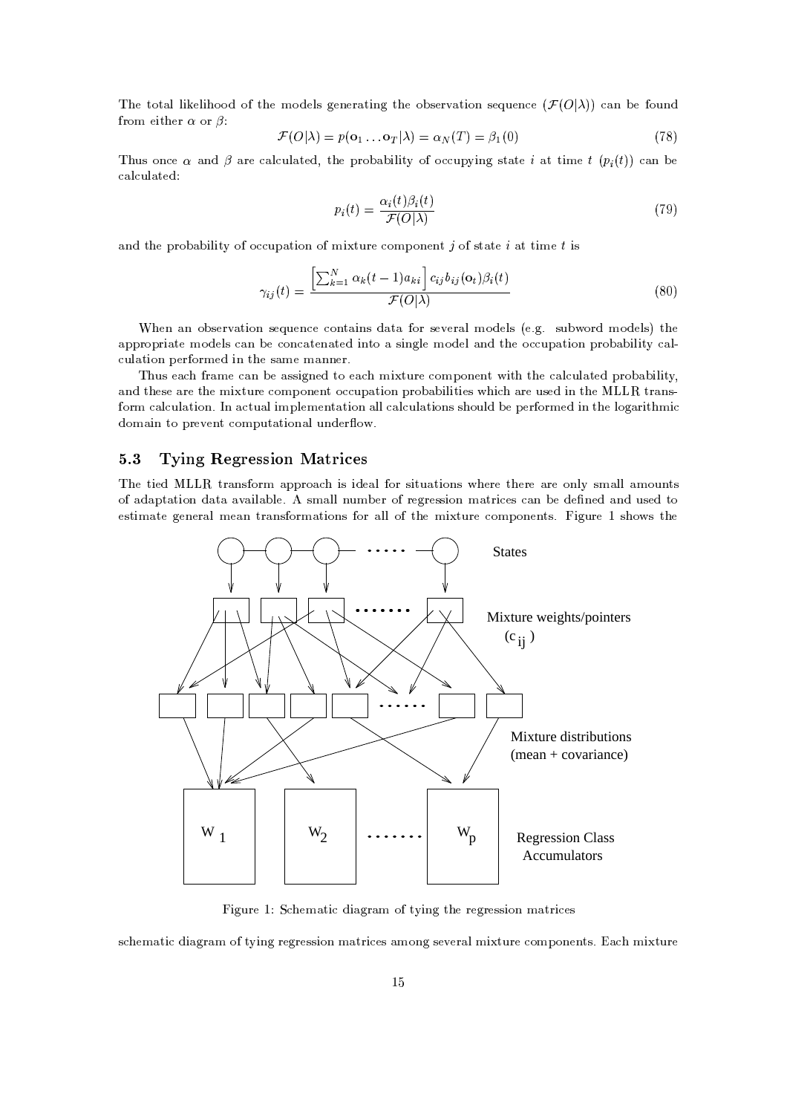أحادية المناسبة المستقبل المستقبل المستقبل المستقبل المستقبل المستقبل المستقبل المستقبل المستقبل المستقبل المستقبل المستقبل المستقبل المستقبل المستقبل المستقبل المستقبل المستقبل المستقبل المستقبل المستقبل المستقبل المستقبل  $\alpha$  ,  $\alpha$  ,  $\alpha$  ,  $\alpha$ 

$$
\mathcal{F}(O|\lambda) = p(\mathbf{o}_1 \dots \mathbf{o}_T|\lambda) = \alpha_N(T) = \beta_1(0)
$$
\n(78)

Thus once  $\alpha$  and  $\beta$  are calculated the probability of occupying state i at time  $t(n_1(t))$  can be  $\blacksquare$ 

$$
p_i(t) = \frac{\alpha_i(t)\beta_i(t)}{\mathcal{F}(O|\lambda)}\tag{79}
$$

the state of the state of the state of the state of the state of the state of the state of the state of the state of the state of the state of the state of the state of the state of the state of the state of the state of t

$$
\gamma_{ij}(t) = \frac{\left[\sum_{k=1}^{N} \alpha_k(t-1) a_{ki}\right] c_{ij} b_{ij}(\mathbf{o}_t) \beta_i(t)}{\mathcal{F}(O|\lambda)}\tag{80}
$$

7-,/? =? 80H'M,/43L=@23JT81? M,?SA',/?'/,#Q80?S2 =@JK?-<sup>M</sup> ;+=@2 ="814 M3,/L0,/4 =<GC8;-,Q<TM >,0) . ) MA'H814; G8;-,/<KM i2-', =@R'R-481R-4J>=@23, G8;-,/<KM E=@?fH , /80?'Y=@2,Q?+=@23,/;JK?28^=IM3JK?-.0<K,iGC8;-,Q<=@?-;f2-', 8QA-R+=@23JK80?fR-481H+=@H-JK<KJK2ON E=@< /A-<>=2JK80?^R ,/4
814G,/;PJK?P2-,
M =@G,
GP=?-?-,/4Y)

 A-<sup>M</sup> ,E= <sup>4</sup> =@GC, E=? <sup>H</sup> , =MM3JT.1?-,/; 28 ,Y= GJ23A-4, /81GCR 80?',/?S2JK2- 2-, E=@</A-<>=2,/; R-4380H+=H-JK<KJT2N) =@?';I2--,/M3,=@43,2--,GJ23A-4, /81GCR 81?-,/?S2&8/A-<sup>R</sup> =@2JK81?IR-481H+=@H-JK<KJK2JK,/M& 'JC=@43,A-M,/;IJK?I2-,! ! 24 =?-M a title senten title title senten a title title  $\sim$  3  $\sim$  3  $\sim$  3  $\sim$  3  $\sim$  3  $\sim$  3  $\sim$  3  $\sim$  3  $\sim$  3  $\sim$  3  $\sim$  3  $\sim$  3  $\sim$  3  $\sim$  3  $\sim$  3  $\sim$  3  $\sim$  3  $\sim$  3  $\sim$  3  $\sim$  3  $\sim$  3  $\sim$  3  $\sim$  3  $\sim$  3  $\sim$  3  $\sim$  3  $\sim$  3  $\sim$  3  $\sim$  3  $\sim$  3  $\sim$  3  $\sim$ 

# 5.3 Tying Regression Matrices

 -, 2JK,/; ! ! 24 =@?-M8043G =R-R-438S=JKMiJK;-,E=@<.804iMJK23A+=@23JT81?-<sup>M</sup> -,/4, 2-',/4, =@43,I80?'<TN MGP=<K<=@G80A-?2M 8 =;+=@R'2 =@23JK80?f;+=2 <sup>=</sup> =YL=JT<>=H-<K,0) M3GP=<T<?A-GH ,Q48l43,/.043,/MM3JT81?fGP=24J/,QM E=@?fH ,i;', ?-,/;9=?-;fA-M3,/;f28 ,/M32JKGP=2,C.0,Q?-,/4 =<lG,E=@? 24 =?-M
O804G^=@23JT81?-<sup>M</sup> <sup>814</sup> =@<K<82-,CGJ2A'4,#/81GR 80?-,Q?S2MY)CJK.0A-43, BCM-'8M 2--,



JK.0A-43, <sup>B</sup> -,/G^=@2J;-J>=@.04 =@G 8&2ONJK?-.I2--,4,/.14,/M3MJK80?^GP=24J/,QM

M--,/G^=@2J ;-J>=@.04 =@G 862ONJK?-.i4,/.14,/M3MJK80? GP=24J/,QM =GC80?'. M3,/L0,/4 =< GJS23A-4,/80GCR 80?-,/?2MY)'=IGCJ2A'4,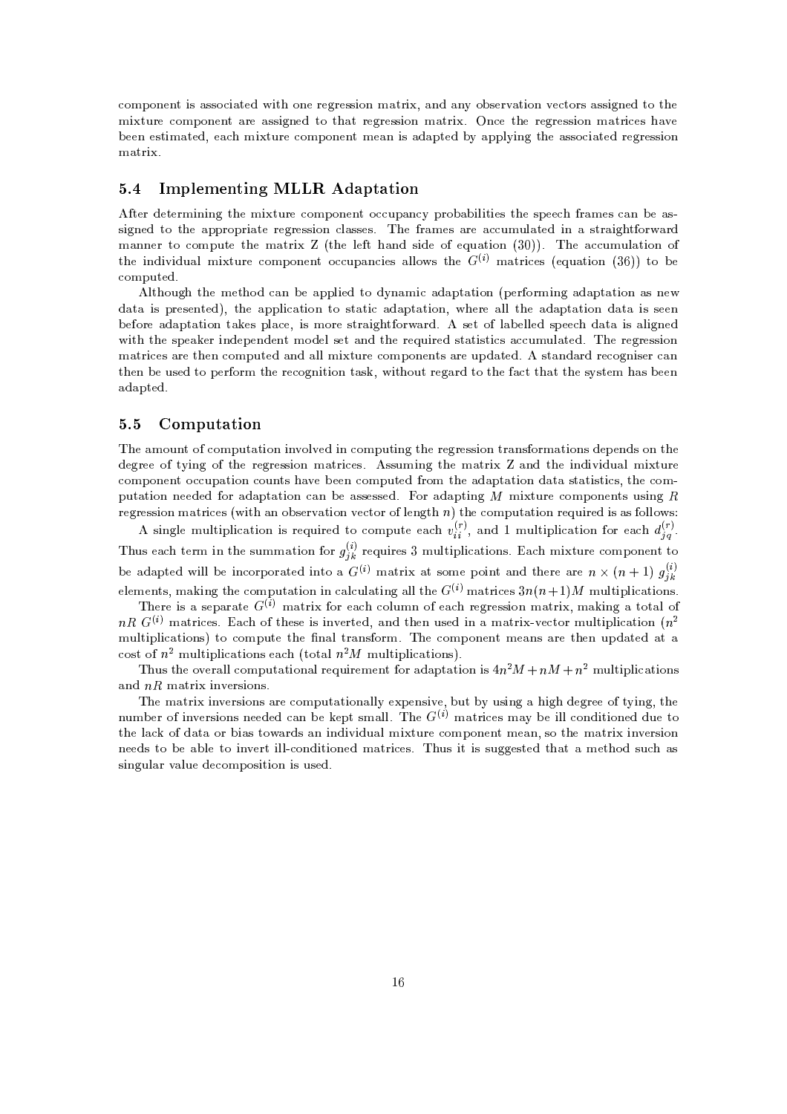/81GCR 80?',/?S2 JKM=MM8 /J>=@2,Q; JT2 80?-,U43,/.043,/MM3JT81? GP=@234J '=@?';f=@?SNP80H-M3,/4L0=@23JT81? L0,/2814M=MM3JT.1?-,/; 28C2--GCJ2A'4, /80GR 80?-,/?2I=@4,^=@M3MJK.0?-,Q; <sup>238</sup> 2+=@2 43,/.043,/MM3JT81? G^=@243J )9?'Q,C2-,C43,/.043,/MM3JT81? G^=@234J/,/M!+=YL0, <sup>H</sup> ,/,/?f,/M32JKGP=2,/; ,Y=fGCJ2A'4, /80GR 80?-,/?2GC,E=?JKM=@;+=R-2,Q;HN=@R-R'<TNJK?-. 2--, =@M3M8QJ =2,/;f4,Q.04,QMMJK81? matrix.

## 5.4 Implementing MLLR Adaptation

the individual minture component ecouperaise ellews the  $C^{(i)}$  metrics (equation (96)) to be O2,/4
;',/2,/43GCJK?-JK?-.^2--, GJ23A-4, /81GCR 81?-,/?S28/A'R+=@?'QN R-4380H+=H-JK<KJT23JK,/M
2-', MR ,/, <sup>4</sup> =@GC,QME=@?9H+,I=@M MJK.1?-,/; 23892--,^=@R-R-4380R-43J>=@2, 4,Q.04,QMMJK81?2/<>=@M3M,/MY) ',4 =@GC,QM =4,^=/A'GA-<>=2,/; JK? =fM234 =@JK.)S2
O804-=@4;  $\sim$  , and a significant contracts to the contract of the contracts of the contracts of the contracts of the contracts of the contracts of the contracts of the contracts of the contracts of the contracts of the contracts /81GCR-A-23,/; )

<K2--81A-.92-, GC,/2-8; E=?9H ,I=@R-R-<KJK,/;9238^;-N?+=@GJI=@;+=R-<sup>2</sup> =2JK80? >R ,Q4
814GCJK?-.f=@;+=@R'2 =@23JT80?=@M?-, ;+=2 <sup>=</sup> JKMR-43,/M,/?2,/;  2-, =@R'R-<KJY=@2JK81? 28 M2 =@23J =;+=@R'2 =@23JK80? -,/4, =<T<2-',^=;+=@R'2 =@23JK80? ;+=2 <sup>=</sup> JKM M,Q,/? <sup>H</sup> ,814, =@;+=R-<sup>2</sup> =2JK80? <sup>2</sup> =0,/MUR-<>=Q, JKMUGC8043, M324 =@JK.2
814-l=4; ) M3,/2U8<>=@H ,/<K<K,/; MR ,/, ;+=@2 <sup>=</sup> JKMi=@<KJK.0?',/; JK2-2-, MR ,E=0,/4JK?-;-,/R ,/?';-,/?2GC8;-,Q<6M,Q2
=@?-;2-, 4, A-JK43,/;M2 =2JKM23J/M
= /A'GA'< =2,/;) -, 4,Q.04,QMMJK81? , and the contract of the contract of the contract of the contract of the contract of the contract of the contract of the contract of the contract of the contract of the contract of the contract of the contract of the cont 2-',/? <sup>H</sup> , A-M3,/; 28 <sup>R</sup> ,/4
814G 2--, 43,/80.1?-JK2JK80?C2 =@M 'JK2--81A-2&43,/.S=4; 238i2--, =/2 2-+=2&2-', MNM23,/G +=M&H ,/,Q? =@; =@R-23,/; )

### 5.5 Computation

 -,=@G80A-?2&8 /80GR-A-<sup>2</sup> =@2JK81?IJK?L080<KL0,/; JK?Q80GR-A-2JK?-. 2-, 4,/.14,/M3MJK80? <sup>234</sup> =@?'M
814GP=2JK80?'M;',/R ,/?-;-M&81? 2--, ;-,/.14,/,C82NSJK?-. 8
2-', 43,/.043,/MM3JT81? G^=@234J/,/MY) M3MA-GJT?'.f2-,CGP=@234J <sup>Z</sup> =@?-; 2-', JK?-;-JKLJK;-A+=<lGCJ2A-43, . The same state of the same state of the same state of the same state of the same state of the same state of the same state of the same state of the same state of the same state of the same state of the same state of the rutation needed for edentation can be accessed. For edenting M mixture components using D remography metric on (with an absentation wester of langth  $n$ ) the commutation required is as follows:

A single multiplication is required to compute each  $v_i^{(r)}$ , and 1 multiplication for each  $d_{i,s}^{(r)}$ .  $\cdots$ be adapted will be incorporated into a  $G^{(i)}$  matrix at some point and there are  $n \times (n+1)$   $g^{(i)}$  $\mathcal{L}$  is the state of the state of the state  $\mathcal{L}$  is the state of the state of the state of the state of the state of the state of the state of the state of the state of the state of the state of the state of the s Thus each term in the summation for  $a_{\cdot}^{(*)}$  requires 3 multiplications. Each mixture component to

There is a separate  $G^{(i)}$  matrix for each column of each regression matrix, making a total of  $\mathcal{L}^{(i)}$  metrics. Fesh of these is invented, and then used in a metrix vector multiplication ( $\mathcal{L}^2$  $\mathcal{S}=\mathcal{S}=\mathcal{S}=\mathcal{S}=\mathcal{S}=\mathcal{S}=\mathcal{S}=\mathcal{S}=\mathcal{S}=\mathcal{S}=\mathcal{S}=\mathcal{S}=\mathcal{S}=\mathcal{S}=\mathcal{S}=\mathcal{S}=\mathcal{S}=\mathcal{S}=\mathcal{S}=\mathcal{S}=\mathcal{S}=\mathcal{S}=\mathcal{S}=\mathcal{S}=\mathcal{S}=\mathcal{S}=\mathcal{S}=\mathcal{S}=\mathcal{S}=\mathcal{S}=\mathcal{S}=\mathcal{S}=\mathcal{S}=\mathcal{S}=\mathcal{S}=\mathcal{S}=\mathcal{$ GIA-<K2JKR-<KJE=@23JT81?-M U238 /80GR-A-2, 2-', ? =@<W234 =@?'M
814G) ',/81GCR 81?-,/?S2iG,E=@?-<sup>M</sup> =4, 2--,Q?A-<sup>R</sup> ; =@2,Q; =2 <sup>=</sup>

 A-M2--,l8@L0,/4 =@<K< /80GR-A-<sup>2</sup> =@2JK81?+=@<+43, A-JK4,/G,/?S2 <sup>804</sup> =@;+=R-<sup>2</sup> =2JK80?IJKMF GA-<K23JTR'<TJE=2JK80?'M \* & \*& \*  $_{\rm end}$   $_{\rm M}$  D matrix intensions.

 $\mathcal{L}^{(i)}$  respectively and define the light small. The  $\mathcal{L}^{(i)}$  metrices mean be ill conditioned due to ',GP=@234J JK?SL0,/43MJK80?-<sup>M</sup> =@4, Q80GCR'A-<sup>2</sup> =2JK80?+=<K<TN ,R ,/?'MJKL0, H-A'2WHSN A-MJK?-. <sup>=</sup> -JK. ;',/.043,/,82NJK?-. S2--, 2-',U<>=P8 ;+=2 <sup>=</sup> <sup>814</sup> H'J =M 238l=4;-M
=@?JT?';-JKLSJK;-<sup>A</sup> =@<6GCJ2A-43, /81GCR 80?',/?S2G,E=@? EM8C2--, GP=24JPJK?SL0,/43MJK80? .0.1, .0.1, .0.1, .0.1, .0.1, .0.1, .0.1, .0.1, .0.1, .0.1, .0.1, .0.1, .0.1, .0.1, .0.1, .0.1, .0.1, .0.1, .0 MJK?-.1A-<>=@4L=@<KA-,;-,/81GCR 81MJK2JK80?^JKMlA-M3,/; )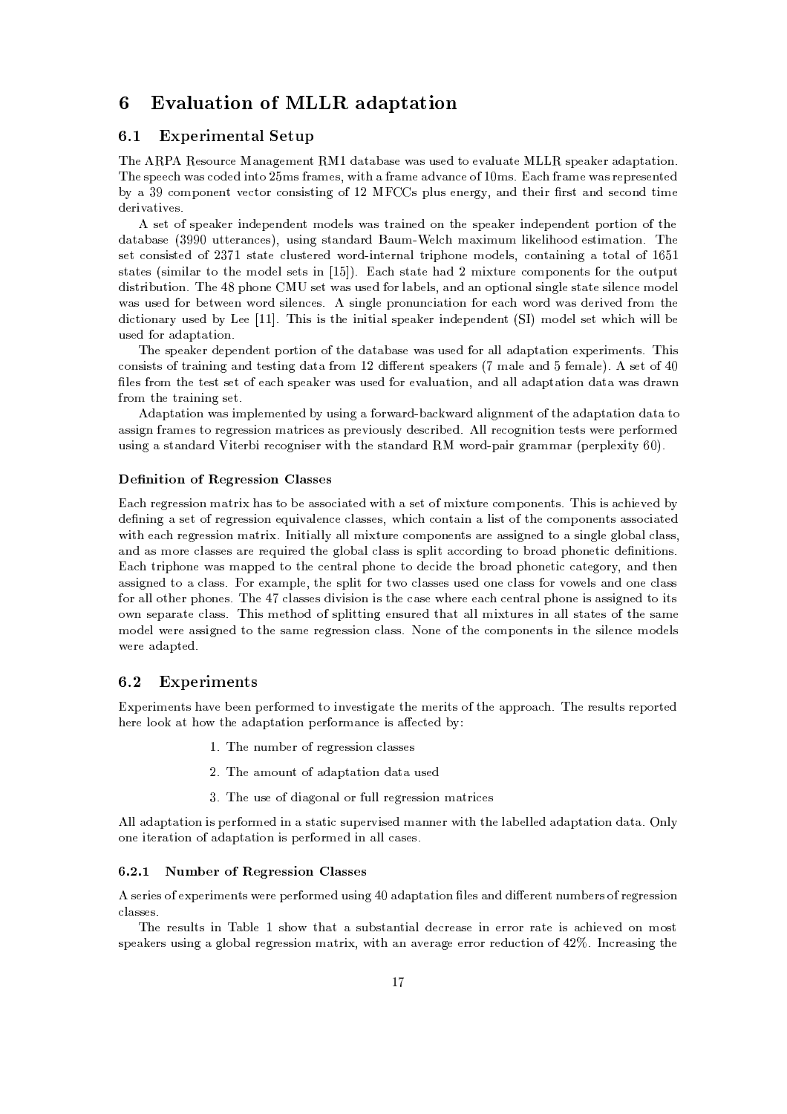# 6 Evaluation of MLLR adaptation

#### $6.1$ `254 -,I: H
N=?OPH
A3;V8%J GHQ; \*I:

 -,W + ,/M81A-4-/,f=@?+=.0,/G,/?S2 BW;+=2 =@H =@M, =@M\$A-M3,/; 28,/L0=@<KA+=2,! ! MR ,E=0,/4=@;+=R-<sup>2</sup> =2JK80?) -,MR ,/, l=@M /8:;-,/;UJT?28X GCM <sup>4</sup> =@GC,QM\$JK2-i=.4 =GC,&=@;-L0=@?'/,86B\$,@GCMY)-= <sup>4</sup> =GC,%l=@M-4,QR-4,/M3,/?S23,/; HSN9= 0D"/80GR 80?-,/?2L0, /2814\*/81?-MJKM23JK?-.^8iBEX ((WMUR-<KA-M,/?',/4.1N)=@?';92-',/JK4 43M2 =?-;9M3,/81?-;92JKG,  $\sim$  ,  $\sim$  ,  $\sim$  ,  $\sim$  ,  $\sim$  ,  $\sim$  ,  $\sim$  ,  $\sim$  ,  $\sim$  ,  $\sim$  ,  $\sim$  ,  $\sim$  ,  $\sim$  ,  $\sim$  ,  $\sim$  ,  $\sim$  ,  $\sim$  ,  $\sim$  ,  $\sim$  ,  $\sim$  ,  $\sim$  ,  $\sim$  ,  $\sim$  ,  $\sim$  ,  $\sim$  ,  $\sim$  ,  $\sim$  ,  $\sim$  ,  $\sim$  ,  $\sim$  ,  $\sim$  ,  $\sim$ 

 M,/28M3R ,E=0,Q4JT?';-,/R ,/?-;',/?S2G8;-,/<KM\*l=M24 =JK?-,/;980?92--, M3R ,E=0,/4JK?-;',/R ,/?-;-,Q?S2UR 80423JK80?982-, ;+=2 =@H =@M, (1D0D ,fA-232,/4 =@?'/,QM lA-M3JK?-.9M2 =?-;+=4; V=@A'G79,Q< G^=JKGA'G <TJ,Q<TJ-88;C,/M32JKGP=2JK80? ) ', . Assembly the state of the state of the state of the state of the state of the state of the state of the state of the state of the state of the state of the state of the state of the state of the state of the state of the M2 =@23,/M MJKGCJK<>=@4U28 2--, GC8;-,Q<M3,/2MUJK? KB - Q)I=9M2 =@23,!+=@; <sup>X</sup> GJ23A-4,/80GR+81?-,/?2M 804U2--, 80A-23R-A-<sup>2</sup> ;-JKM234JKH-A-23JK80? ) -, <sup>F</sup> R'-81?-,l( M,Q2 l=M6A-M3,/; 8146<>=@H ,Q<TM\$=?-; =@? 80R-23JK80?+=<:M3JK?-.0<K, M32 =@23, MJK<K,/?'Q, GC8;',/< l=M
A-M,Q;KO804
H ,/2,/,Q? W8043;fM3JK<T,Q?'/,/MY) "M3JT?'.0<K, R-481?SA-?-/J>=@2JK81?KO804
,E= 814; l=M
;-,/43JTL0,Q;KO480G 2--, ;-J/23JT81?+=@43NPA-M3,/;HSN !-,/, TB1B -3)W -JKMJKM2--, JK?-JK2J>=<6MR ,E=0,/4JK?-;-,/R ,/?';-,/?S2 GC8;-,Q<6M,/2 'J JK<K<6H , A-M3,/; <sup>814</sup> =;+=@R'2 =@23JK80? )

 ',M3R ,E=0,Q4W;-,/R ,/?-;',/?S2WR 8142JK81?C82--,;+=2 =H+=@M3, =@MWA-M3,/;804=<T<=@;+=R-<sup>2</sup> =2JK80? ,R ,/43JKGC,/?2ME)l -JKM /81?-MJKM23M 8\$24 =@JK?-JK?-.I=@?-; 2,/M32JK?-. ; =@2 =\*4380G BYX ;-J-,/4,Q?S2WMR ,E=0,/4M(iGP=@<K,
=?-; \*,/G^=@<K,/)+M,/2W8\$F, <K,/M&O480G 2--,23,/M2lM,/2W8,E= MR ,E=0,/4 =@MWA-M3,/;814W,/L=<KA+=@23JT81? -=@?';^=@<K< =;+=@R'2 =@23JK80? ;+=2= =@MW;-<sup>4</sup> =? 4380G 2--,24 =JK?-JK?-. M3,/2E)

 $\frac{1}{2}$  . The sound is a set of the sound is a set of the sound is a set of the sound is a set of the sound is a set of the sound is a set of the sound is a set of the sound is a set of the sound is a set of the sound i  $\sim$  0.043,  $\sim$  0.043,  $\sim$  0.043,  $\sim$  0.043,  $\sim$  0.043,  $\sim$  0.043,  $\sim$  0.043,  $\sim$  0.043,  $\sim$  0.043,  $\sim$  0.043,  $\sim$  0.043,  $\sim$  0.043,  $\sim$  0.043,  $\sim$  0.043,  $\sim$  0.043,  $\sim$  0.043,  $\sim$  0.043,  $\sim$  0.043,  $\sim$  A-M3JT?'. <sup>=</sup> M2 =@?-;+=4;-JK2,/43H-<sup>J</sup> 4, /80.1?-JKM,/4 JK2-P2-,
M32 =?-;+=@43; 814; R+=JT4.04 =@GGP=@4 >R ,/43R-<K,JK2ON ),Q)

#### Definition of Regression Classes

= 4,/.14,/M3MJK80? G^=@243J +=M28UH , =@MM38/J>=@23,/;JK2- =
M,/28 GCJ2A-43, Q80GCR 81?-,/?2ME) -JKMJKM&='JT,QL0,/; HSN ;-, ?-JK?-.C= M3,/28&4,/.14,/M3MJK80?^, A-JKL0=@<K,/?'/,\*Q< =MM3,/M -JK/81?S2 =@JK?= <KJKM28&2--,\*Q80GCR 81?-,/?2M=MM38/J>=@23,/; JK2- ,E= 43,/.043,/MM3JT81? GP=24J#)?'JT23J>=@<K<KNI=<T< GCJ2A-43,/80GCR 80?-,/?2MW=4,=MMJK.1?-,/; 28 = MJK?-.0<K, .1<T81H+=@< /<>=@MM\$ =@?';f=MGC814,N/<>=@M3M,/M
=4, 4,?SA'JT43,/;2--, .1<T81H+=@< /<>=@M3MJTMM3R-<KJK2
=/814;-JK?-. 28CH-438S=@;R''80?-,/23JU;', ?-JK2JK81?-ME) =^24JKR''80?-,\*l=MlG^=@R-<sup>R</sup> ,Q;P238I2--,\*/,/?24 =< R''80?-,28I;-,QJT;',
2-,H-48=@;^R'-80?',/2J\*E=@23,/.0814N\$=?-;^2--,/? =@M3MJK.0?',/; 28 =/<>=@M3ME)-<sup>804</sup> ,-=GCR-<K, 2-',M3R-<KJK2 <sup>804</sup> 28 /<>=@M3M,/M A-M3,/; 80?-, /<>=MM <sup>814</sup> L08,Q<TM=?-; 80?-, /<>=MM 814W=@<K< 802-,/4 R'-80?',/ME)6 -, <sup>F</sup> /<>=MM,QM&;-JKLJKMJK80? JKM 2--,Y=@M, -,/4,,E= /,/?24 =< R'-80?', JKMW=@M3MJK.0?',/; 28 JK2M 8? M,/R =@4 =2, Q< =MMY) -JKM
GC,Q2--8;98M3R-<KJT232JK?-.^,/?-MA'4,/; 2+=@2 =@<K<GCJ2A-43,/M
JK? =<K<M32 =2,/M82-, <sup>M</sup> =@GC, GC8:;-,/< ,Q4, =@MM3JK.0?-,/;28C2-',UM =@GC, 4,Q.04,QMMJK81? /<>=MME)81?-, 8W2--,N/80GR 80?-,/?2MJK? 2-, MJK<K,/?'/, GC8;-,Q<TM ,/43, =@; =@R-23,/; )

#### 6.2 `2S1 -,I: H
N=?OPH
A3;VR

R ,/43JTG,/?S23M +=YL0,H ,/,/?CR ,/48043GC,/;C238 JK?SL0,/M32JK.S=2,2-,GC,/43JK2M 8\$2--,
=R-R-48= ) -,4,/M3A-<K2M 43,/R 80432,/; -,/43,
<K88)P=@2 -82--, =@;+=R-<sup>2</sup> =2JK80?^R ,/4
814G^=@?'/,JKM =
#,Q2,/;^HSN

- B0)W -,?SA-GIH ,/4843,/.043,/MM3JK80?"Q< =MM3,/M
- X-)W -, =@GC81A-?S28W=@;+=R-<sup>2</sup> =2JK80?^;+=@2 <sup>=</sup> A'M,/;
- -)W -,A-M,8;'J =.081?+=@< 814.A'<T< 43,/.043,/MM3JK80?PG^=@234J/,/M

<K< =@; =@R-<sup>2</sup> =@2JK81? JKM\$R ,/48043GC,/; JT? =M2 =@23JlMA-<sup>R</sup> ,/43LJTM3,/; G^=@?-?',/4 JK2- 2--,W<>=H ,/<K<T,Q;I=@;+=R-<sup>2</sup> =2JK80? ;+=@2=-)+?-<KN 80?',
JK2,/4 =@23JT81?P8 =@; =@R-<sup>2</sup> =@2JK81?PJKMlR ,Q4
814GC,Q;PJK? =<T< Y=@M,QME)

#### 6.2.1  $\,$  Number of Regression Classes  $\,$

 M3,/4JK,/M-8',SR ,/43JKGC,/?2M ,/43,R ,/4
814G,/;UA-MJK?-. F, =;+=@R'2 =@23JK80? <K,/M=@?-;U;-J-,/4,Q?S2-?SA'GH ,/43M-8+4,/.14,/M3MJK80?  $\,$ classes

 ', 4,QMA-<K2MCJK? =@H-<K, BM--8 2+=@2P= M3A-H-M2 =@?2J>=@<
;-,Q4,E=M, JK? ,Q44814 <sup>4</sup> =@23, JKM =-JK,/L0,/; 80? G80M32 MR ,Y=0,/43MlA-MJK?-. <sup>=</sup> .1<K80H+=<-4,Q.04,QMMJK81? G^=@234J )JT2 =@? =YL0,/4 =.0,
,/443804l43,/;-A'Q2JK80?P8FX(^)\$?'Q4,E=MJK?-. 2-',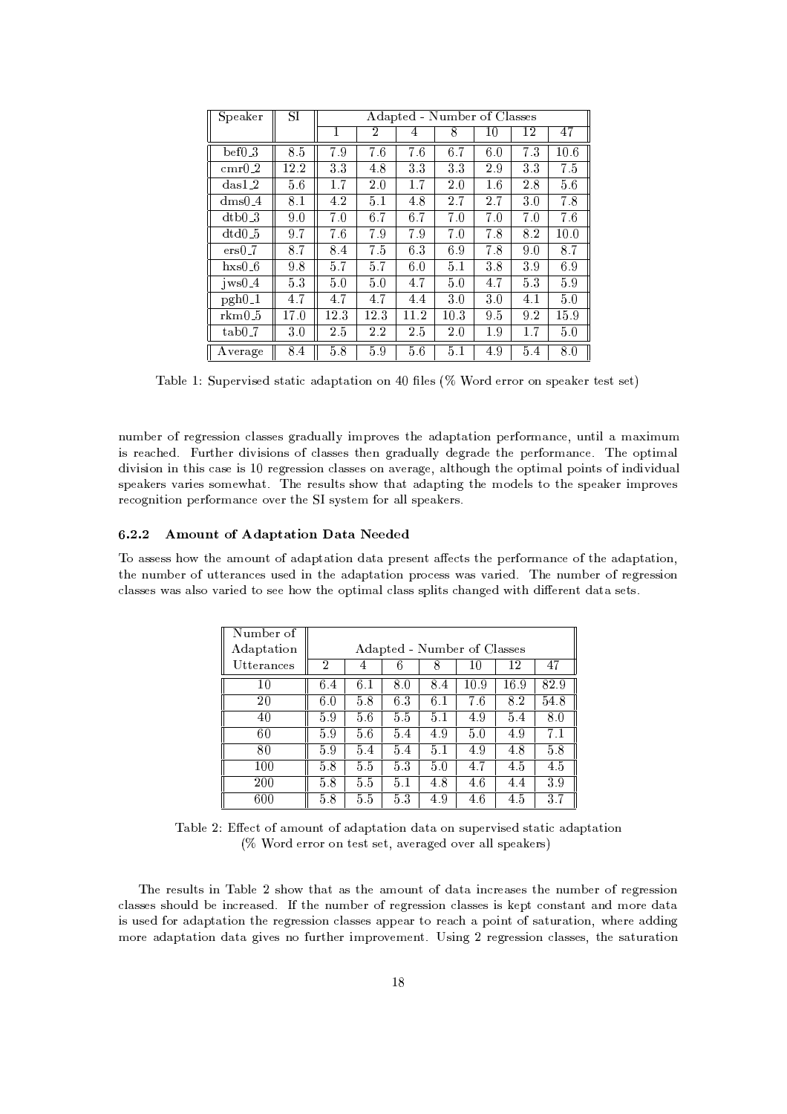| Speaker      | SI       | Adapted - Number of Classes |      |      |                |     |     |      |
|--------------|----------|-----------------------------|------|------|----------------|-----|-----|------|
|              |          | 1                           | 2    | 4    | 8              | 10  | 12  | 47   |
| bef03        | 8.5      | 7.9                         | 7.6  | 7.6  | 6.7            | 6.0 | 7.3 | 10.6 |
| $cmr0_2$     | $12.2\,$ | 33                          | 4.8  | 3.3  | 3 <sub>3</sub> | 2.9 | 3.3 | 7.5  |
| $das1-2$     | 5.6      | 1.7                         | 2.0  | 1.7  | 2.0            | 1.6 | 2.8 | 56   |
| $dms0_4$     | 8.1      | 4.2                         | 5.1  | 4.8  | 2.7            | 2.7 | 3.0 | 7.8  |
| dtb0.3       | 9.0      | 7.0                         | 6.7  | 6.7  | 7.0            | 7.0 | 7.0 | 7.6  |
| dtd0.5       | 9.7      | 7.6                         | 7.9  | 79   | 7.0            | 7.8 | 8.2 | 10.0 |
| $ers0-7$     | 8.7      | 8.4                         | 7.5  | 6.3  | 6.9            | 7.8 | 9.0 | 8.7  |
| $h$ xs $0_6$ | 9.8      | 5.7                         | 5.7  | 6.0  | 5.1            | 3.8 | 39  | 69   |
| $jws0_4$     | 53       | 5.0                         | 5.0  | 4.7  | 5.0            | 4.7 | 5.3 | 59   |
| $pgh0_1$     | 4.7      | 4.7                         | 4.7  | 4.4  | 3.0            | 3.0 | 4.1 | 5.0  |
| rkm0 5       | 17.0     | 12.3                        | 12.3 | 11.2 | 10.3           | 9.5 | 9.2 | 15.9 |
| $tab0-7$     | 3.0      | 2.5                         | 2.2  | 2.5  | 2.0            | 1.9 | 1.7 | 5.0  |
| Average      | 8.4      | 5.8                         | 59   | 5.6  | 5.1            | 4.9 | 5.4 | 8.0  |

=H-<K, <sup>B</sup> A'R ,/4LJKM,/;^M2 =@2J =@;+=R-<sup>2</sup> =2JK80?^80?PF, <T,QM( 78043;P,/43480480?^MR ,E=0,/42,/M32lM3,/2 

 $\sim$  . A same of the state of the state of the state of the state of the state of the state of the state of the state of the state of the state of the state of the state of the state of the state of the state of the state JKM 43,E=-,/; ) -A-432--,/4 ;-JKLJTM3JK80?-<sup>M</sup> 8 /<>=@M3M,/M 2--,Q? .04 =@;-A+=<K<TN ;-,/.14 =;-, 2-', <sup>R</sup> ,/4
O804G^=@?'Q,0) -, 81R-2JKG^=@< ;-JKLJKMJK80?^JK?^2--JKM E=M,JKM B, 4,Q.04,QMMJK81?"Q< =MM3,/M80?=YL0,/4 =.0, -=@<K2--81A-.^2-,80R-23JTG^=@<R 80JK?S23M8&JK?-;-JKLJT;'A+=@< ,Y=0,/MA's and the state of the state of the state of the state of the state of the state of the state of the state of the state of the state of the state of the state of the state of the state of the state of the state of 4, /80.1?-JK2JK80?^R ,/4
814G^=@?'/,8L0,Q4l2-,UWMNM23,/G O804=@<K< MR ,E=0,/43ME)

#### 6.2.2 Amount of Adaptation Data Needed

68P=@MM3,/MM '8%2--, =GC80A'?S28=;+=@R-<sup>2</sup> =@23JT81?;+=@2 =IR-4,/M3,/?S2
=
#, /2M2-, R ,/4
814G^=@?'/, 8 2-, =@;+=R-<sup>2</sup> =2JK80? 2-', ?A-GH ,Q48 A-232,/4 =@?'Q,/MUA-M,/; JK?92-,I=;+=@R'2 =@23JK80?9R'48/,QMM l=@MUL=4JK,/; ) -, ?A-GIH ,/4U84,/.14,/M3MJK80? /<>=@M3M,/M l=M =<TM38 L0=@43JT,Q;P28IM,Q,-8 2-',
80R'2JKGP=< /<>=@MMMR'<TJK23M +=@?-.1,/;"JK2P;-J-,/4,/?2;+=@2 <sup>=</sup> M3,/2MY)

| Number of  |                |     |     |     |                             |      |      |
|------------|----------------|-----|-----|-----|-----------------------------|------|------|
| Adaptation |                |     |     |     | Adapted - Number of Classes |      |      |
| Utterances | $\overline{2}$ | 4   | 6   |     | 10                          | 12   | 47   |
| 10         | 6.4            | 6.1 | 8.0 | 8.4 | 10.9                        | 16.9 | 82.9 |
| 20         | 6.0            | 5.8 | 63  | 6.1 | 7.6                         | 8.2  | 54.8 |
| 40         | 59             | 5.6 | 5.5 | 5.1 | 4.9                         | 5.4  | 8.0  |
| 60         | 5.9            | 5.6 | 5.4 | 4.9 | 5.0                         | 4.9  | 7.1  |
| 80         | 5.9            | 5.4 | 5.4 | 5.1 | 4.9                         | 4.8  | 5.8  |
| 100        | 5.8            | 5.5 | 53  | 5.0 | 4.7                         | 4.5  | 4.5  |
| 200        | 5.8            | 5.5 | 5.1 | 4.8 | 4.6                         | 4.4  | 39   |
| 600        | 5.8            | 5.5 | 53  | 4.9 | 4.6                         | 4.5  | 3.7  |

=@H'<T, X=-,/28W=@G80A-?2l8 =@; =@R-<sup>2</sup> =@2JK81?P;+=2 <sup>=</sup> 80?PM3A-<sup>R</sup> ,/43LSJKM3,/;PM32 =@23JU=@; =@R-<sup>2</sup> =@2JK81? (% Word error on test set, averaged over all speakers)

 ',I43,/MA'<T23MiJK?=@H'<T, <sup>X</sup> M-8 2- =@2 =@Mi2-, =@G80A-?2i8
;+=@2 <sup>=</sup> JK?'/4,Y=@M,QMi2--, ?SA'GH ,/4i8
4,/.14,/M3MJK80? /<>=@M3M,/MUM-80A-<K; <sup>H</sup> , JK?'/43,E=@M3,/; ) 2-, ?A-GIH ,/4U84,/.14,/M3MJK80? /<>=@MM3,/MUJKM\*0,QR-<sup>2</sup> /80?-M32 =?S2i=@?-; GC814, ;+=@2 <sup>=</sup> JKMA-M3,/;"804=@;+=R-<sup>2</sup> =2JK80?2-, 4,/.14,/M3MJK80?Q< =MM3,/M
=@R'R+,Y=@4238C4,E= =IR 81JK?S28WM =@23A-<sup>4</sup> =2JK80? -,/43, =@;-;'JT?'. GC814,C=;+=@R'2 =@23JK80?;+=2 <sup>=</sup> .0JKL0,/Mi?-8"A'42-',/4 JKGCR'48@L0,/GC,/?2E) M3JT?'. X^43,/.043,/MM3JK80?<Q< =MM3,/M 2-',IM =2A-<sup>4</sup> =@2JK81?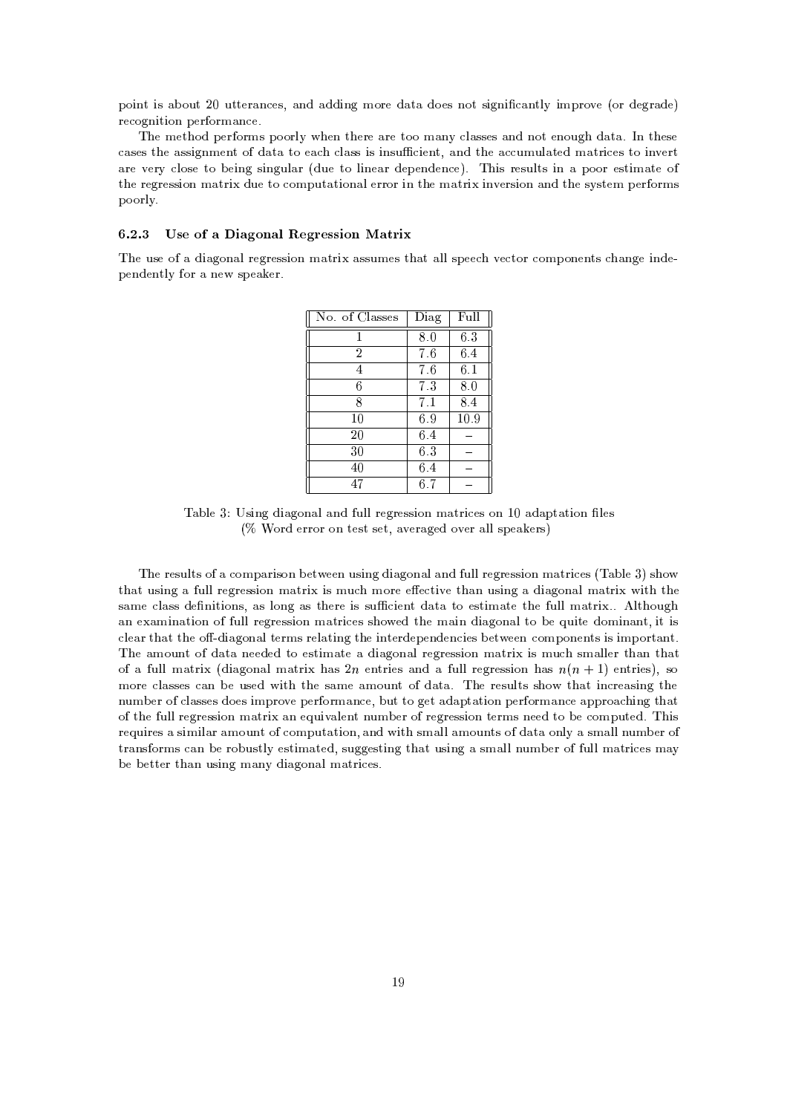<sup>R</sup> 80JK?2
JKM =@H 81A-2UX), A-223,/4 =?'/,/M\$6=@?'; =@;';-JK?-.^GC8043, ;+=2 <sup>=</sup> ;-8,QM
?-812MJK.0?-J Y=@?S23<KNJTGR-48@L0, >804;-,/.14 =;-,  $\sim$   $\sim$   $\sim$   $\sim$   $\sim$   $\sim$   $\sim$ 

 ',GC,/2-8;^R ,Q4
814GCM <sup>R</sup> 88043<KN# ',/?^2-',/4, =4,2388IG^=@?N /<>=@MM3,/M=?-;^?-812,/?'80A-.)^;+=@2 =-)?^2-',/M,  $\blacksquare$  , and , and , and , and , and , and , and , and , and , and , and , and , and , and , and , and , and , and , and , and , and , and , and , and , and , and , and , and , and , and , and , and , and , and , and , an =@43,IL0,Q4N /<K80M3,I238H ,QJT?'.M3JK?-.0A-<>=4 ;-A-, 28f<TJK?-,Y=@4i;-,/R ,/?';-,/?'/,'/) -JKM 43,/MA'<T23MiJT? <sup>=</sup> <sup>R</sup> 8804i,/M23JKGP=@23,I8 , 238 /80GR-2 = 201 /80GR-2 = 201 /80GR-2 = 201 /80GR-2 = 201 /80GR-2 = 201 /80GR-2 = 201 /80GR-2 = 201 /80GR-2 = 201 /80GR-2 = 201 /80GR-2 = 201 /80GR-2 = 201 /80GR-2 = 201 /80GR-2 = 201 /80GR-2 = 201 /80GR-2 = 201 /80GR-2 poorly.

## 6.2.3 Use of a Diagonal Regression Matrix

 -,UA'M,U8l=I;-J>=@.081?+=@<643,/.043,/MM3JT81? G^=@243J^=MM3A-GC,/M2- =@2=<K<M3R ,/, L0,/23804 /80GR 80?-,/?2M +=?-.0, JT?';-,  $\blacksquare$ , and  $\blacksquare$ 

| No. of Classes | Diag | Full |
|----------------|------|------|
|                | 8.0  | 6.3  |
| $\overline{2}$ | 7.6  | 6.4  |
| 4              | 7.6  | 6.1  |
| 6              | 7.3  | 8.0  |
| 8              | 7.1  | 8.4  |
| 10             | 6.9  | 10.9 |
| 20             | 6.4  |      |
| 30             | 6.3  |      |
| 40             | 6.4  |      |
| 47             | 6.7  |      |

=@H-<K, MJK?-.I;-J>=@.180?+=<6=@?-;#A-<K< 4,Q.04,QMMJK81?PGP=243JQ,/Ml81? B\$, =;+=@R-<sup>2</sup> =@23JT81? <T,QM  $($ % Word error on test set, averaged over all speakers)

 ',W4,QMA-<K2M86= /81GCR+=4JKM81? <sup>H</sup> ,/2,/,Q? A-M3JT?'.;-J>=.080? =@< =@?';NA-<K<'4,Q.04,QMMJK81? GP=243JQ,/M =@H-<K, M-8 2- =@2A-MJK?-.^= A'<T<\$43,/.043,/MM3JK80?G^=@234J^JKMGIA'fGC8043, ,-,/23JKL0, 2- =@?A'MJK?-.^=I;-J>=@.180?+=<\$GC=@243JKJT2-2-, <sup>M</sup> =GC,/<>=MMU;-, ?-JK2JK80?-M\$=@M <T81?-.f=@M 2--,/43, JTM MA /JK,/?2U;+=2 =P28,/M23JTG^=@23, 2-, A-<K< GP=@234J#)K)U<T2-80A'. the contract of the contract of the contract of the contract of the contract of the contract of the contract of the contract of the contract of the contract of the contract of the contract of the contract of the contract o /<K,E=42+=@22-,86;-J>=.080? =@<+23,/4GM4,/<>=@23JK?-. 2--,JK?S23,/4;-,QR ,/?-;-,/?-/JK,/MH ,/2
W,/,/? /80GR 80?-,/?2MJKMJKGCR <sup>80432</sup> =?S2E) -,I=@G80A-?2
8; =@2 <sup>=</sup> ?-,Q,/;-,/;928^,/M32JKGP=2,I=C;'J =.081?+=@<43,/.043,/MM3JK80?9GP=@234JJKMGA' M3G=@< <T,/42+=@?92-+=2 of a full matrix (diagonal matrix has 9n aptujes and a full regression has  $n(n+1)$  aptujes), so GC814,Q< =MM3,/MNE=?H ,IA-M3,/;<JK2-2-,IM =GC,C=GC81A-?S2i8;+=2 =')C -,I43,/MA-<K23M M--8 2- =@2 JK?'Q4,E=MJK?-.2-, ?SA'GH ,/48 Q< =MM3,/M;-8,/MJKGCR'48@L0,lR ,Q4
814GP=?'/, H-A-228 .1,/2 =@;+=R-<sup>2</sup> =2JK80?IR ,/48043GP=?'/,=@R-R-438S=-JK?-. 2+=@2 82-, A-<K<#43,/.043,/MM3JT81? GP=@234JC=? , A-JKL=@<K,/?2W?SA-GIH ,/4W843,/.043,/MM3JT81? 2,/43GCMW?-,/,Q;C238 <sup>H</sup> , /80GR-A-2,Q; ) -JKM 4,?SA'JT43,/M =M3JKGCJK<>=@4 =GC81A-?S28 /80GR-A-<sup>2</sup> =@2JK80? =@?-;JK2- MGP=<K< =GC80A'?S2M&8;+=2 =81?-<TN =M3G=@<T<'?A-GH ,/48  $\alpha$  . I2-M32JKGP=@23,/m32JKgP=@23,/m32JKgP=@2A-M32JKgP=@24JKgP=@24JKgP=@24JKgP=@24JKgP=@24JKgP=@24JKgP=@24JKgP=@24JKgP=@24JKgP=@24JKgP=@24JKgP=@24JKgP=@24JKgP=@24JKgP=@24JKgP=@24JKgP=@24JKgP=@24JKgP=@24JKgP=@24JKgP=@24JK <sup>H</sup> ,
H ,Q22,Q4l2+=@?^A-MJK?-.IGP=?SNC;-J>=@.180?+=< GP=24J/,QME)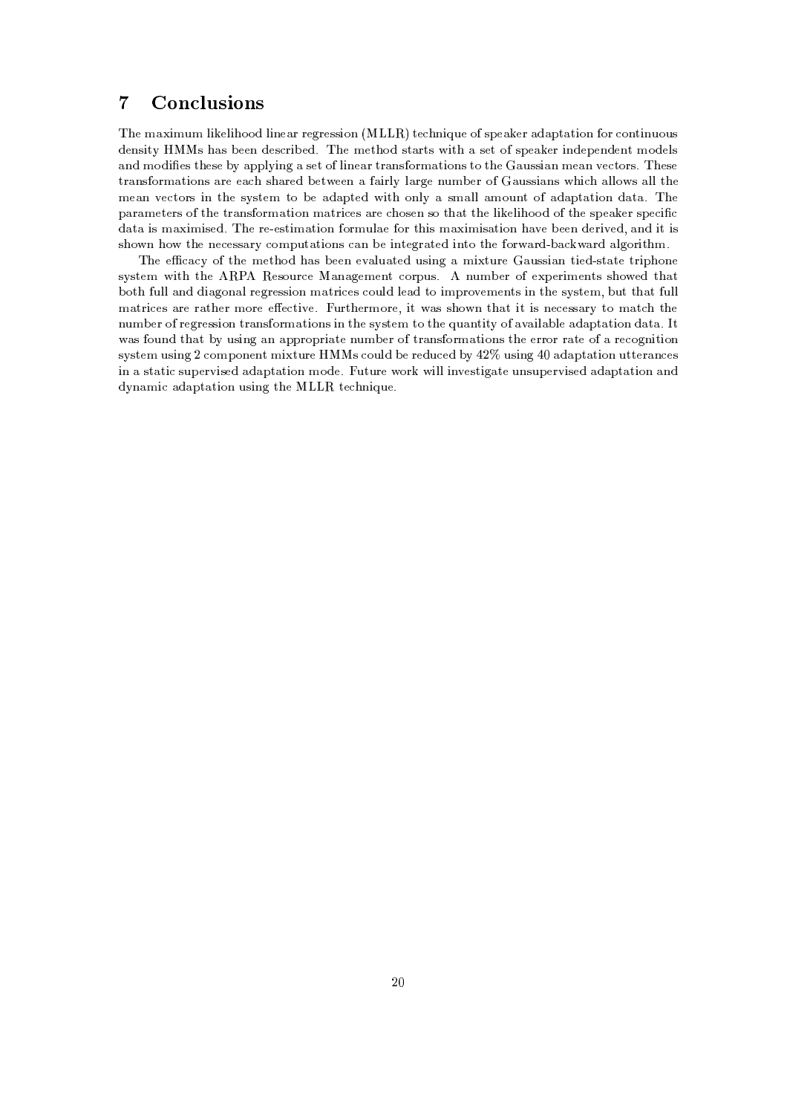# 7 Conclusions

 -,WGP=JTGIA-<sup>G</sup> <KJ0,/<KJ'8S8; <TJ?-,Y=@4\$4,Q.04,QMMJK81? ! ! -2,-?-JA-,W8-MR ,Y=0,/4=;+=@R-<sup>2</sup> =@23JT81?N804 /81?S23JT?A-81A-<sup>M</sup> ;-,/?'MJK2ON ^M+=@M <sup>H</sup> ,/,/? ;-,/M-Q4JKH ,/; )U -,G,/2--8:;^M2 =@423M JK2= M,/2 8&M3R ,E=0,Q4JK?-;-,QR ,/?-;-,/?2G8;-,/<KM =@?';iGC8;-J ,/M62--,/M3,&HSNi=@R-R-<KNJK?-.= M3,/28 <KJK?-,E=424 =@?-M8043GP=2JK80?-M2382-', i=@A-M3MJ>=@?iG,E=@?iL0,Q28043ME)' -,/M3, a is the start and the start and the start of the start of the start of the start of the start of the start of the start of the start of the start of the start of the start of the start of the start of the start of the sta GC,Y=@? L0, /2814M JT? 2--,CMNM32,/G 28 <sup>H</sup> , =;+=@R-23,/; JK2 80?'<TN =MG^=@<K< =@G80A-?2i8U=;+=@R-<sup>2</sup> =@2JT80? ;+=@2 =') ', R+=4 =@G,/2,Q4M&862--, 24 =@?-M8043GP=@23JK80? GP=@234J/,/MW=@43, -80M3,/? M8i2-+=22-, <TJ0,/<KJ-88:;I862-',M3R ,E=0,/4&M3R+, /J ;+=2 =iJKMWG^=JKGCJKM,Q; )' -,4,,/M32JKGP=2JK80? 8043GA-<>=, 804l2--JKMWG^=JKGJTM =2JT80? +=YL0,H ,/,/? ;-,Q4JKL0,/; @=?-; JK2WJKM M-'8?K-82--,?-,/,/M3M =4N#/81GCR-A-<sup>2</sup> =@23JT81?-M E=@?^H ,
JK?S23,/.04 =@23,/;PJK?S238 2-,O804-=@4;H+=l=4; =<K.08043JK2--G9)

 ', , E=/N8 2--, GC,/2-8; +=M
H ,/,Q? ,/L=<KA+=@23,/; A-M3JK?-. <sup>=</sup> GCJ2A-43, =A-MM3J>=@? 23JT,Q;M32 =2, 234JKR'-81?-, MNM32,/G JK2 2--, + ,QM80A'4-/,^=?+=@.1,/GC,Q?S2!/814R-A'ME) ?SA-GIH ,/4 8U,R ,/4JKGC,Q?S23M M--8,/; 2+=@2 <sup>H</sup> 802!A-<K<#=?-; ;-J>=@.081?+=@< 4,Q.04,QMMJK81?IG^=@234J/,/M./81A-<K; <T,Y=@; 28iJKGR-48@L0,/G,/?2M&JK? 2-',M3NM2,QG H'A-2&2- =@2 A-<K<  $\sim$  10  $\sim$  300  $\sim$  300  $\sim$  300  $\sim$  300  $\sim$  300  $\sim$  300  $\sim$  300  $\sim$  300  $\sim$  300  $\sim$  300  $\sim$  300  $\sim$  300  $\sim$  300  $\sim$  300  $\sim$  300  $\sim$  300  $\sim$  300  $\sim$  300  $\sim$  300  $\sim$  300  $\sim$  300  $\sim$  300  $\sim$  300  $\sim$  3 ?SA'GH ,/468 43,/.043,/MM3JK80? 24 =?-M
O804G^=@23JT81?-M6JK?i2-, MNM23,/G"28
2-,FA+=?S23JT2NU8-=YL=JK< =H-<K,W=;+=@R'2 =@23JK80? ;+=@2=-)12 l=M&80A-?';C2+=@2WHNIA-MJK?-.I=?P=R-R-4380R-43J =2,?SA'GH ,/4W8\$234 =?-M
814G^=@2JK81?-MW2--,,/434804W4 =@2,8=i43,/80.1?-JK2JK80? MNM32,/G A-MJK?-.
X/80GR 80?-,Q?S2 GJ23A-4,^M /80A-<K; H ,43,/;-A'Q,/; HSNFSX)(A-MJK?-.F,=;+=@R'2 =@23JK80? A-232,/4 =@?'/,QM JK? =M32 =@23JlM3A-<sup>R</sup> ,/4LJKM,Q; =;+=@R-<sup>2</sup> =@23JT81? G8;-,0)6:A-23A-4, 814- JK<K<+JK?SL0,QM2JK.=@2,A-?-M3A-<sup>R</sup> ,/43LSJKM3,/; =;+=@R'2 =@23JK80?C=@?-; , , , , , , , , , , , , , , ,